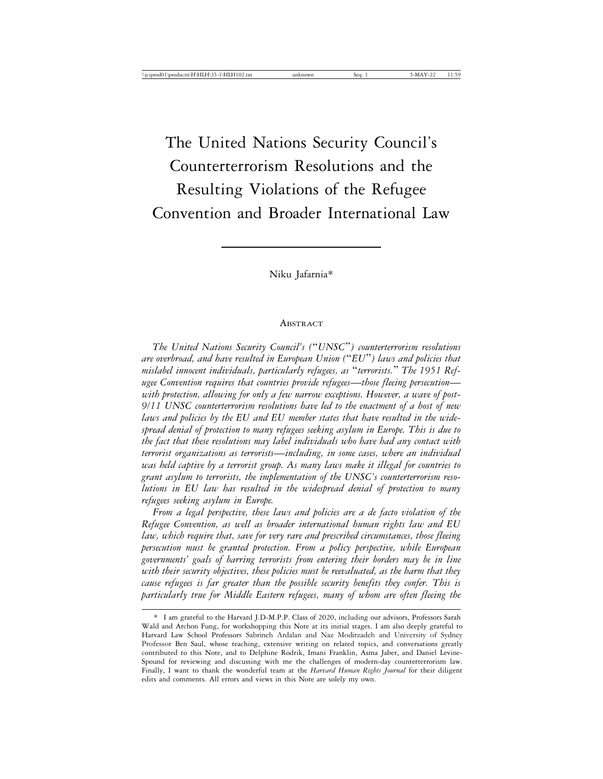# The United Nations Security Council's Counterterrorism Resolutions and the Resulting Violations of the Refugee Convention and Broader International Law

Niku Jafarnia\*

#### ABSTRACT

*The United Nations Security Council's (*"*UNSC*"*) counterterrorism resolutions are overbroad, and have resulted in European Union (*"*EU*"*) laws and policies that mislabel innocent individuals, particularly refugees, as* "*terrorists.*" *The 1951 Refugee Convention requires that countries provide refugees*—*those fleeing persecution with protection, allowing for only a few narrow exceptions. However, a wave of post-9/11 UNSC counterterrorism resolutions have led to the enactment of a host of new laws and policies by the EU and EU member states that have resulted in the widespread denial of protection to many refugees seeking asylum in Europe. This is due to the fact that these resolutions may label individuals who have had any contact with terrorist organizations as terrorists*—*including, in some cases, where an individual was held captive by a terrorist group. As many laws make it illegal for countries to grant asylum to terrorists, the implementation of the UNSC's counterterrorism resolutions in EU law has resulted in the widespread denial of protection to many refugees seeking asylum in Europe.*

*From a legal perspective, these laws and policies are a de facto violation of the Refugee Convention, as well as broader international human rights law and EU law, which require that, save for very rare and prescribed circumstances, those fleeing persecution must be granted protection. From a policy perspective, while European governments' goals of barring terrorists from entering their borders may be in line with their security objectives, these policies must be reevaluated, as the harm that they cause refugees is far greater than the possible security benefits they confer. This is particularly true for Middle Eastern refugees, many of whom are often fleeing the*

<sup>\*</sup> I am grateful to the Harvard J.D-M.P.P. Class of 2020, including our advisors, Professors Sarah Wald and Archon Fung, for workshopping this Note at its initial stages. I am also deeply grateful to Harvard Law School Professors Sabrineh Ardalan and Naz Modirzadeh and University of Sydney Professor Ben Saul, whose teaching, extensive writing on related topics, and conversations greatly contributed to this Note, and to Delphine Rodrik, Imani Franklin, Asma Jaber, and Daniel Levine-Spound for reviewing and discussing with me the challenges of modern-day counterterrorism law. Finally, I want to thank the wonderful team at the *Harvard Human Rights Journal* for their diligent edits and comments. All errors and views in this Note are solely my own.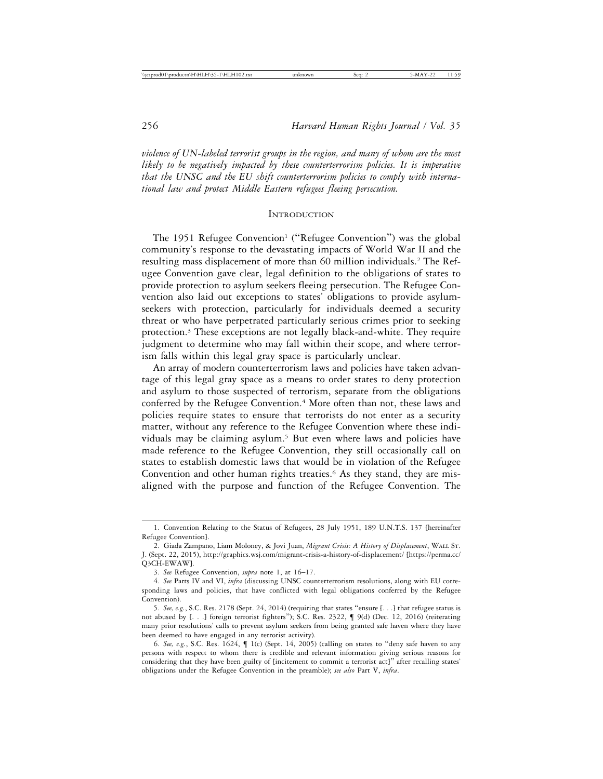*violence of UN-labeled terrorist groups in the region, and many of whom are the most likely to be negatively impacted by these counterterrorism policies. It is imperative that the UNSC and the EU shift counterterrorism policies to comply with international law and protect Middle Eastern refugees fleeing persecution.*

#### **INTRODUCTION**

The 1951 Refugee Convention<sup>1</sup> ("Refugee Convention") was the global community's response to the devastating impacts of World War II and the resulting mass displacement of more than 60 million individuals.2 The Refugee Convention gave clear, legal definition to the obligations of states to provide protection to asylum seekers fleeing persecution. The Refugee Convention also laid out exceptions to states' obligations to provide asylumseekers with protection, particularly for individuals deemed a security threat or who have perpetrated particularly serious crimes prior to seeking protection.3 These exceptions are not legally black-and-white. They require judgment to determine who may fall within their scope, and where terrorism falls within this legal gray space is particularly unclear.

An array of modern counterterrorism laws and policies have taken advantage of this legal gray space as a means to order states to deny protection and asylum to those suspected of terrorism, separate from the obligations conferred by the Refugee Convention.<sup>4</sup> More often than not, these laws and policies require states to ensure that terrorists do not enter as a security matter, without any reference to the Refugee Convention where these individuals may be claiming asylum.5 But even where laws and policies have made reference to the Refugee Convention, they still occasionally call on states to establish domestic laws that would be in violation of the Refugee Convention and other human rights treaties.<sup>6</sup> As they stand, they are misaligned with the purpose and function of the Refugee Convention. The

<sup>1.</sup> Convention Relating to the Status of Refugees, 28 July 1951, 189 U.N.T.S. 137 [hereinafter Refugee Convention].

<sup>2.</sup> Giada Zampano, Liam Moloney, & Jovi Juan, *Migrant Crisis: A History of Displacement*, WALL ST. J. (Sept. 22, 2015), http://graphics.wsj.com/migrant-crisis-a-history-of-displacement/ [https://perma.cc/ Q3CH-EWAW].

<sup>3.</sup> *See* Refugee Convention, *supra* note 1, at 16–17.

<sup>4.</sup> *See* Parts IV and VI, *infra* (discussing UNSC counterterrorism resolutions, along with EU corresponding laws and policies, that have conflicted with legal obligations conferred by the Refugee Convention).

<sup>5.</sup> *See, e.g.*, S.C. Res. 2178 (Sept. 24, 2014) (requiring that states "ensure [. . .] that refugee status is not abused by [. . .] foreign terrorist fighters"); S.C. Res. 2322, ¶ 9(d) (Dec. 12, 2016) (reiterating many prior resolutions' calls to prevent asylum seekers from being granted safe haven where they have been deemed to have engaged in any terrorist activity).

<sup>6.</sup> *See, e.g.*, S.C. Res. 1624, ¶ 1(c) (Sept. 14, 2005) (calling on states to "deny safe haven to any persons with respect to whom there is credible and relevant information giving serious reasons for considering that they have been guilty of [incitement to commit a terrorist act]" after recalling states' obligations under the Refugee Convention in the preamble); *see also* Part V, *infra*.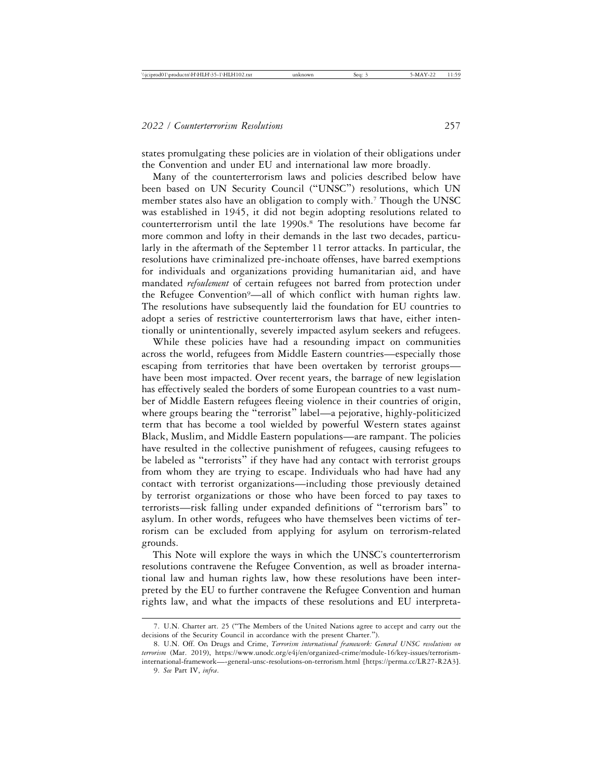states promulgating these policies are in violation of their obligations under the Convention and under EU and international law more broadly.

Many of the counterterrorism laws and policies described below have been based on UN Security Council ("UNSC") resolutions, which UN member states also have an obligation to comply with.<sup>7</sup> Though the UNSC was established in 1945, it did not begin adopting resolutions related to counterterrorism until the late 1990s.8 The resolutions have become far more common and lofty in their demands in the last two decades, particularly in the aftermath of the September 11 terror attacks. In particular, the resolutions have criminalized pre-inchoate offenses, have barred exemptions for individuals and organizations providing humanitarian aid, and have mandated *refoulement* of certain refugees not barred from protection under the Refugee Convention<sup>9</sup>—all of which conflict with human rights law. The resolutions have subsequently laid the foundation for EU countries to adopt a series of restrictive counterterrorism laws that have, either intentionally or unintentionally, severely impacted asylum seekers and refugees.

While these policies have had a resounding impact on communities across the world, refugees from Middle Eastern countries—especially those escaping from territories that have been overtaken by terrorist groups have been most impacted. Over recent years, the barrage of new legislation has effectively sealed the borders of some European countries to a vast number of Middle Eastern refugees fleeing violence in their countries of origin, where groups bearing the "terrorist" label—a pejorative, highly-politicized term that has become a tool wielded by powerful Western states against Black, Muslim, and Middle Eastern populations—are rampant. The policies have resulted in the collective punishment of refugees, causing refugees to be labeled as "terrorists" if they have had any contact with terrorist groups from whom they are trying to escape. Individuals who had have had any contact with terrorist organizations—including those previously detained by terrorist organizations or those who have been forced to pay taxes to terrorists—risk falling under expanded definitions of "terrorism bars" to asylum. In other words, refugees who have themselves been victims of terrorism can be excluded from applying for asylum on terrorism-related grounds.

This Note will explore the ways in which the UNSC's counterterrorism resolutions contravene the Refugee Convention, as well as broader international law and human rights law, how these resolutions have been interpreted by the EU to further contravene the Refugee Convention and human rights law, and what the impacts of these resolutions and EU interpreta-

<sup>7.</sup> U.N. Charter art. 25 ("The Members of the United Nations agree to accept and carry out the decisions of the Security Council in accordance with the present Charter.").

<sup>8.</sup> U.N. Off. On Drugs and Crime, *Terrorism international framework: General UNSC resolutions on terrorism* (Mar. 2019), https://www.unodc.org/e4j/en/organized-crime/module-16/key-issues/terrorisminternational-framework—-general-unsc-resolutions-on-terrorism.html [https://perma.cc/LR27-R2A3].

<sup>9.</sup> *See* Part IV, *infra*.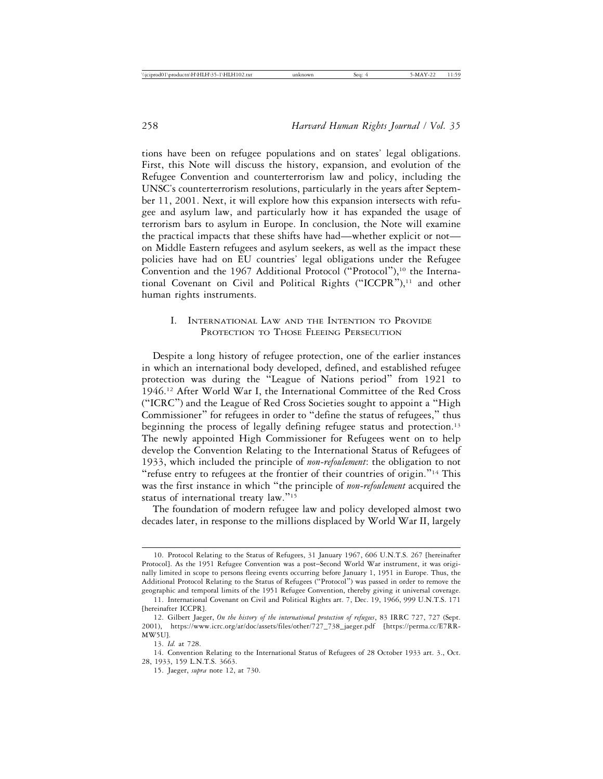tions have been on refugee populations and on states' legal obligations. First, this Note will discuss the history, expansion, and evolution of the Refugee Convention and counterterrorism law and policy, including the UNSC's counterterrorism resolutions, particularly in the years after September 11, 2001. Next, it will explore how this expansion intersects with refugee and asylum law, and particularly how it has expanded the usage of terrorism bars to asylum in Europe. In conclusion, the Note will examine the practical impacts that these shifts have had—whether explicit or not on Middle Eastern refugees and asylum seekers, as well as the impact these policies have had on EU countries' legal obligations under the Refugee Convention and the 1967 Additional Protocol ("Protocol"),<sup>10</sup> the International Covenant on Civil and Political Rights ("ICCPR"),<sup>11</sup> and other human rights instruments.

# I. INTERNATIONAL LAW AND THE INTENTION TO PROVIDE PROTECTION TO THOSE FLEEING PERSECUTION

Despite a long history of refugee protection, one of the earlier instances in which an international body developed, defined, and established refugee protection was during the "League of Nations period" from 1921 to 1946.12 After World War I, the International Committee of the Red Cross ("ICRC") and the League of Red Cross Societies sought to appoint a "High Commissioner" for refugees in order to "define the status of refugees," thus beginning the process of legally defining refugee status and protection.<sup>13</sup> The newly appointed High Commissioner for Refugees went on to help develop the Convention Relating to the International Status of Refugees of 1933, which included the principle of *non-refoulement*: the obligation to not "refuse entry to refugees at the frontier of their countries of origin."14 This was the first instance in which "the principle of *non-refoulement* acquired the status of international treaty law."<sup>15</sup>

The foundation of modern refugee law and policy developed almost two decades later, in response to the millions displaced by World War II, largely

<sup>10.</sup> Protocol Relating to the Status of Refugees, 31 January 1967, 606 U.N.T.S. 267 [hereinafter Protocol]. As the 1951 Refugee Convention was a post–Second World War instrument, it was originally limited in scope to persons fleeing events occurring before January 1, 1951 in Europe. Thus, the Additional Protocol Relating to the Status of Refugees ("Protocol") was passed in order to remove the geographic and temporal limits of the 1951 Refugee Convention, thereby giving it universal coverage.

<sup>11.</sup> International Covenant on Civil and Political Rights art. 7, Dec. 19, 1966, 999 U.N.T.S. 171 [hereinafter ICCPR].

<sup>12.</sup> Gilbert Jaeger, *On the history of the international protection of refugees*, 83 IRRC 727, 727 (Sept. 2001), https://www.icrc.org/ar/doc/assets/files/other/727\_738\_jaeger.pdf [https://perma.cc/E7RR-MW5U].

<sup>13.</sup> *Id.* at 728.

<sup>14.</sup> Convention Relating to the International Status of Refugees of 28 October 1933 art. 3., Oct. 28, 1933, 159 L.N.T.S. 3663.

<sup>15.</sup> Jaeger, *supra* note 12, at 730.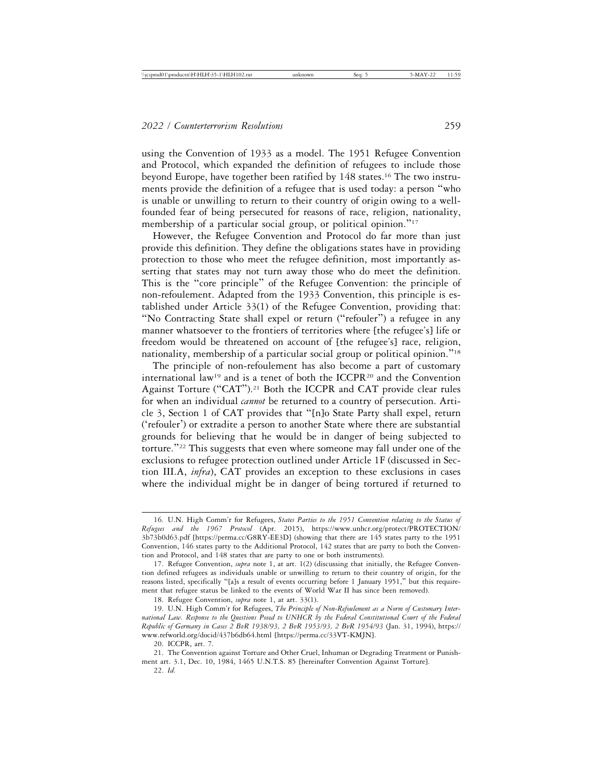using the Convention of 1933 as a model. The 1951 Refugee Convention and Protocol, which expanded the definition of refugees to include those beyond Europe, have together been ratified by 148 states.16 The two instruments provide the definition of a refugee that is used today: a person "who is unable or unwilling to return to their country of origin owing to a wellfounded fear of being persecuted for reasons of race, religion, nationality, membership of a particular social group, or political opinion."<sup>17</sup>

However, the Refugee Convention and Protocol do far more than just provide this definition. They define the obligations states have in providing protection to those who meet the refugee definition, most importantly asserting that states may not turn away those who do meet the definition. This is the "core principle" of the Refugee Convention: the principle of non-refoulement. Adapted from the 1933 Convention, this principle is established under Article 33(1) of the Refugee Convention, providing that: "No Contracting State shall expel or return ("refouler") a refugee in any manner whatsoever to the frontiers of territories where [the refugee's] life or freedom would be threatened on account of [the refugee's] race, religion, nationality, membership of a particular social group or political opinion."<sup>18</sup>

The principle of non-refoulement has also become a part of customary international law<sup>19</sup> and is a tenet of both the ICCPR<sup>20</sup> and the Convention Against Torture ("CAT").21 Both the ICCPR and CAT provide clear rules for when an individual *cannot* be returned to a country of persecution. Article 3, Section 1 of CAT provides that "[n]o State Party shall expel, return ('refouler') or extradite a person to another State where there are substantial grounds for believing that he would be in danger of being subjected to torture."22 This suggests that even where someone may fall under one of the exclusions to refugee protection outlined under Article 1F (discussed in Section III.A, *infra*), CAT provides an exception to these exclusions in cases where the individual might be in danger of being tortured if returned to

<sup>16.</sup> U.N. High Comm'r for Refugees, *States Parties to the 1951 Convention relating to the Status of Refugees and the 1967 Protocol* (Apr. 2015), https://www.unhcr.org/protect/PROTECTION/ 3b73b0d63.pdf [https://perma.cc/G8RY-EE3D] (showing that there are 145 states party to the 1951 Convention, 146 states party to the Additional Protocol, 142 states that are party to both the Convention and Protocol, and 148 states that are party to one or both instruments).

<sup>17.</sup> Refugee Convention, *supra* note 1, at art. 1(2) (discussing that initially, the Refugee Convention defined refugees as individuals unable or unwilling to return to their country of origin, for the reasons listed, specifically "[a]s a result of events occurring before 1 January 1951," but this requirement that refugee status be linked to the events of World War II has since been removed).

<sup>18.</sup> Refugee Convention, *supra* note 1, at art. 33(1).

<sup>19.</sup> U.N. High Comm'r for Refugees, *The Principle of Non-Refoulement as a Norm of Customary International Law. Response to the Questions Posed to UNHCR by the Federal Constitutional Court of the Federal Republic of Germany in Cases 2 BvR 1938/93, 2 BvR 1953/93, 2 BvR 1954/93* (Jan. 31, 1994), https:// www.refworld.org/docid/437b6db64.html [https://perma.cc/33VT-KMJN].

<sup>20.</sup> ICCPR, art. 7.

<sup>21.</sup> The Convention against Torture and Other Cruel, Inhuman or Degrading Treatment or Punishment art. 3.1, Dec. 10, 1984, 1465 U.N.T.S. 85 [hereinafter Convention Against Torture].

<sup>22.</sup> *Id.*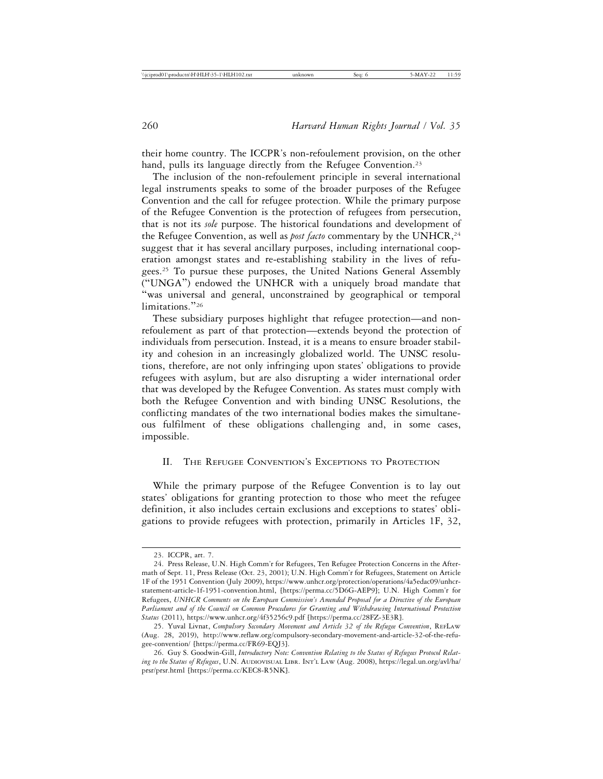their home country. The ICCPR's non-refoulement provision, on the other hand, pulls its language directly from the Refugee Convention.<sup>23</sup>

The inclusion of the non-refoulement principle in several international legal instruments speaks to some of the broader purposes of the Refugee Convention and the call for refugee protection. While the primary purpose of the Refugee Convention is the protection of refugees from persecution, that is not its *sole* purpose. The historical foundations and development of the Refugee Convention, as well as *post facto* commentary by the UNHCR,<sup>24</sup> suggest that it has several ancillary purposes, including international cooperation amongst states and re-establishing stability in the lives of refugees.<sup>25</sup> To pursue these purposes, the United Nations General Assembly ("UNGA") endowed the UNHCR with a uniquely broad mandate that "was universal and general, unconstrained by geographical or temporal limitations."<sup>26</sup>

These subsidiary purposes highlight that refugee protection—and nonrefoulement as part of that protection—extends beyond the protection of individuals from persecution. Instead, it is a means to ensure broader stability and cohesion in an increasingly globalized world. The UNSC resolutions, therefore, are not only infringing upon states' obligations to provide refugees with asylum, but are also disrupting a wider international order that was developed by the Refugee Convention. As states must comply with both the Refugee Convention and with binding UNSC Resolutions, the conflicting mandates of the two international bodies makes the simultaneous fulfilment of these obligations challenging and, in some cases, impossible.

## II. THE REFUGEE CONVENTION'S EXCEPTIONS TO PROTECTION

While the primary purpose of the Refugee Convention is to lay out states' obligations for granting protection to those who meet the refugee definition, it also includes certain exclusions and exceptions to states' obligations to provide refugees with protection, primarily in Articles 1F, 32,

<sup>23.</sup> ICCPR, art. 7.

<sup>24.</sup> Press Release, U.N. High Comm'r for Refugees, Ten Refugee Protection Concerns in the Aftermath of Sept. 11, Press Release (Oct. 23, 2001); U.N. High Comm'r for Refugees, Statement on Article 1F of the 1951 Convention (July 2009), https://www.unhcr.org/protection/operations/4a5edac09/unhcrstatement-article-1f-1951-convention.html, [https://perma.cc/5D6G-AEP9]; U.N. High Comm'r for Refugees, *UNHCR Comments on the European Commission's Amended Proposal for a Directive of the European Parliament and of the Council on Common Procedures for Granting and Withdrawing International Protection Status* (2011), https://www.unhcr.org/4f35256c9.pdf [https://perma.cc/28FZ-3E3R].

<sup>25.</sup> Yuval Livnat, *Compulsory Secondary Movement and Article 32 of the Refugee Convention*, REFLAW (Aug. 28, 2019), http://www.reflaw.org/compulsory-secondary-movement-and-article-32-of-the-refugee-convention/ [https://perma.cc/FR69-EQJ3].

<sup>26.</sup> Guy S. Goodwin-Gill, *Introductory Note: Convention Relating to the Status of Refugees Protocol Relating to the Status of Refugees*, U.N. AUDIOVISUAL LIBR. INT'L LAW (Aug. 2008), https://legal.un.org/avl/ha/ prsr/prsr.html [https://perma.cc/KEC8-R5NK].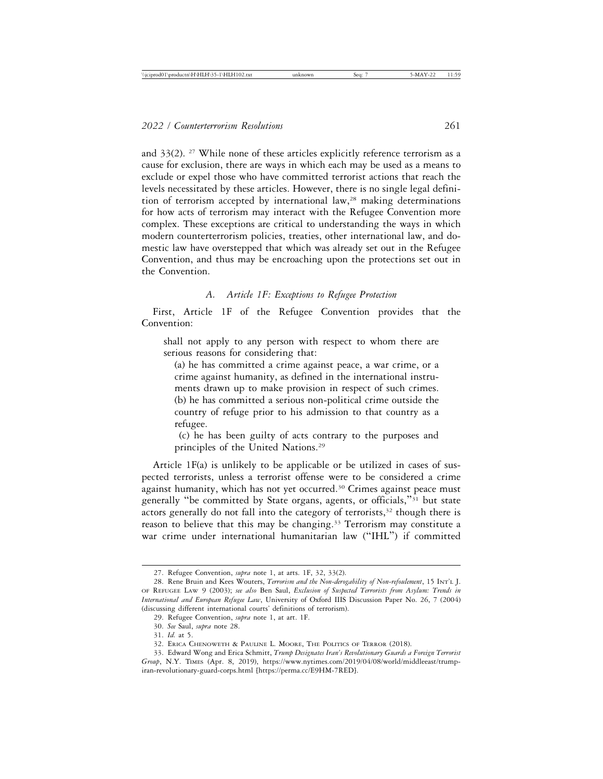and  $33(2)$ . <sup>27</sup> While none of these articles explicitly reference terrorism as a cause for exclusion, there are ways in which each may be used as a means to exclude or expel those who have committed terrorist actions that reach the levels necessitated by these articles. However, there is no single legal definition of terrorism accepted by international law,<sup>28</sup> making determinations for how acts of terrorism may interact with the Refugee Convention more complex. These exceptions are critical to understanding the ways in which modern counterterrorism policies, treaties, other international law, and domestic law have overstepped that which was already set out in the Refugee Convention, and thus may be encroaching upon the protections set out in the Convention.

## *A. Article 1F: Exceptions to Refugee Protection*

First, Article 1F of the Refugee Convention provides that the Convention:

shall not apply to any person with respect to whom there are serious reasons for considering that:

(a) he has committed a crime against peace, a war crime, or a crime against humanity, as defined in the international instruments drawn up to make provision in respect of such crimes. (b) he has committed a serious non-political crime outside the country of refuge prior to his admission to that country as a refugee.

 (c) he has been guilty of acts contrary to the purposes and principles of the United Nations.<sup>29</sup>

Article 1F(a) is unlikely to be applicable or be utilized in cases of suspected terrorists, unless a terrorist offense were to be considered a crime against humanity, which has not yet occurred.<sup>30</sup> Crimes against peace must generally "be committed by State organs, agents, or officials,"31 but state actors generally do not fall into the category of terrorists, $32$  though there is reason to believe that this may be changing.<sup>33</sup> Terrorism may constitute a war crime under international humanitarian law ("IHL") if committed

<sup>27.</sup> Refugee Convention, *supra* note 1, at arts. 1F, 32, 33(2).

<sup>28.</sup> Rene Bruin and Kees Wouters, *Terrorism and the Non-derogability of Non-refoulement*, 15 INT'L J. OF REFUGEE LAW 9 (2003); *see also* Ben Saul, *Exclusion of Suspected Terrorists from Asylum: Trends in International and European Refugee Law*, University of Oxford IIIS Discussion Paper No. 26, 7 (2004) (discussing different international courts' definitions of terrorism).

<sup>29.</sup> Refugee Convention, *supra* note 1, at art. 1F.

<sup>30.</sup> *See* Saul, *supra* note 28.

<sup>31.</sup> *Id.* at 5.

<sup>32.</sup> ERICA CHENOWETH & PAULINE L. MOORE, THE POLITICS OF TERROR (2018).

<sup>33.</sup> Edward Wong and Erica Schmitt, *Trump Designates Iran's Revolutionary Guards a Foreign Terrorist Group*, N.Y. TIMES (Apr. 8, 2019), https://www.nytimes.com/2019/04/08/world/middleeast/trumpiran-revolutionary-guard-corps.html [https://perma.cc/E9HM-7RED].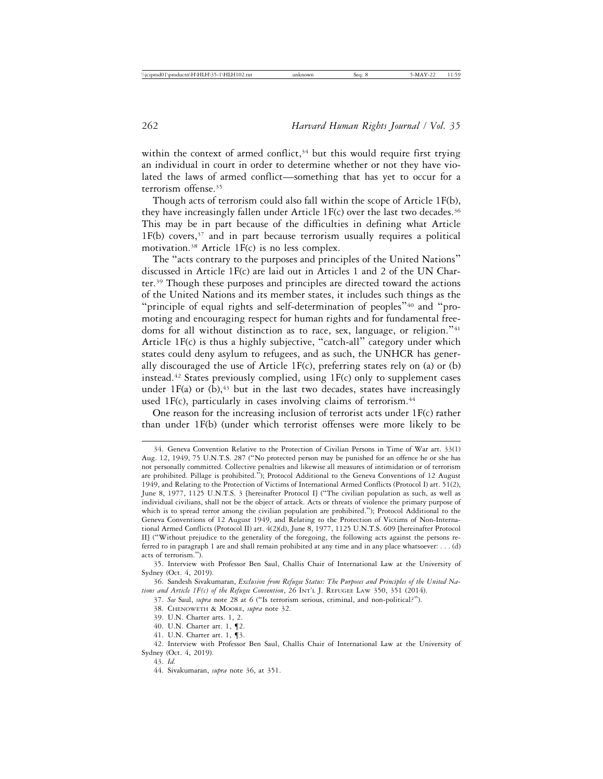within the context of armed conflict,<sup>34</sup> but this would require first trying an individual in court in order to determine whether or not they have violated the laws of armed conflict—something that has yet to occur for a terrorism offense.35

Though acts of terrorism could also fall within the scope of Article 1F(b), they have increasingly fallen under Article  $1F(c)$  over the last two decades.<sup>36</sup> This may be in part because of the difficulties in defining what Article  $1F(b)$  covers,<sup>37</sup> and in part because terrorism usually requires a political motivation.<sup>38</sup> Article 1 $F(c)$  is no less complex.

The "acts contrary to the purposes and principles of the United Nations" discussed in Article 1F(c) are laid out in Articles 1 and 2 of the UN Charter.39 Though these purposes and principles are directed toward the actions of the United Nations and its member states, it includes such things as the "principle of equal rights and self-determination of peoples"40 and "promoting and encouraging respect for human rights and for fundamental freedoms for all without distinction as to race, sex, language, or religion."<sup>41</sup> Article 1F(c) is thus a highly subjective, "catch-all" category under which states could deny asylum to refugees, and as such, the UNHCR has generally discouraged the use of Article 1F(c), preferring states rely on (a) or (b) instead.42 States previously complied, using 1F(c) only to supplement cases under 1F(a) or  $(b)$ ,<sup>43</sup> but in the last two decades, states have increasingly used 1F(c), particularly in cases involving claims of terrorism.<sup>44</sup>

One reason for the increasing inclusion of terrorist acts under 1F(c) rather than under 1F(b) (under which terrorist offenses were more likely to be

36. Sandesh Sivakumaran, *Exclusion from Refugee Status: The Purposes and Principles of the United Nations and Article 1F(c) of the Refugee Convention*, 26 INT'L J. REFUGEE LAW 350, 351 (2014).

41. U.N. Charter art. 1, ¶3.

<sup>34.</sup> Geneva Convention Relative to the Protection of Civilian Persons in Time of War art. 33(1) Aug. 12, 1949, 75 U.N.T.S. 287 ("No protected person may be punished for an offence he or she has not personally committed. Collective penalties and likewise all measures of intimidation or of terrorism are prohibited. Pillage is prohibited."); Protocol Additional to the Geneva Conventions of 12 August 1949, and Relating to the Protection of Victims of International Armed Conflicts (Protocol I) art. 51(2), June 8, 1977, 1125 U.N.T.S. 3 [hereinafter Protocol I] ("The civilian population as such, as well as individual civilians, shall not be the object of attack. Acts or threats of violence the primary purpose of which is to spread terror among the civilian population are prohibited."); Protocol Additional to the Geneva Conventions of 12 August 1949, and Relating to the Protection of Victims of Non-International Armed Conflicts (Protocol II) art. 4(2)(d), June 8, 1977, 1125 U.N.T.S. 609 [hereinafter Protocol II] ("Without prejudice to the generality of the foregoing, the following acts against the persons referred to in paragraph 1 are and shall remain prohibited at any time and in any place whatsoever: . . . (d) acts of terrorism.").

<sup>35.</sup> Interview with Professor Ben Saul, Challis Chair of International Law at the University of Sydney (Oct. 4, 2019).

<sup>37.</sup> *See* Saul, *supra* note 28 at 6 ("Is terrorism serious, criminal, and non-political?").

<sup>38.</sup> CHENOWETH & MOORE, *supra* note 32.

<sup>39.</sup> U.N. Charter arts. 1, 2.

<sup>40.</sup> U.N. Charter art. 1, ¶2.

<sup>42.</sup> Interview with Professor Ben Saul, Challis Chair of International Law at the University of Sydney (Oct. 4, 2019).

<sup>43.</sup> *Id.*

<sup>44.</sup> Sivakumaran, *supra* note 36, at 351.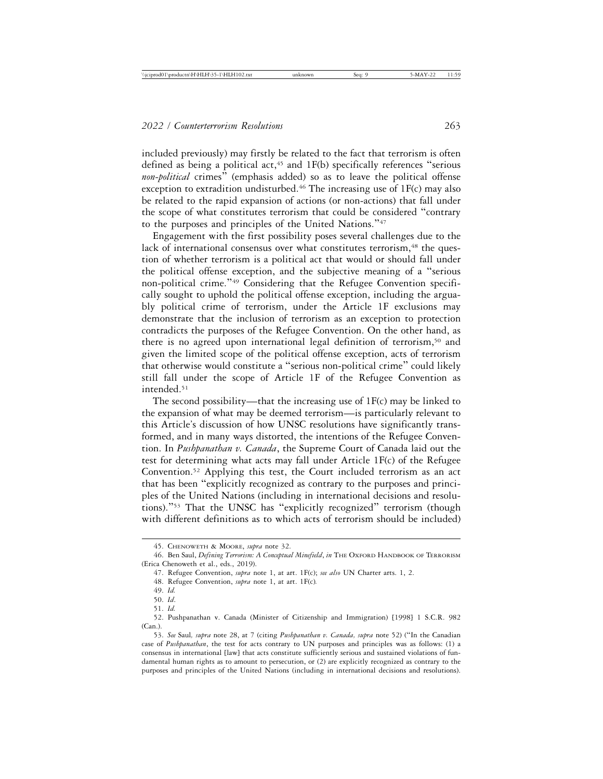included previously) may firstly be related to the fact that terrorism is often defined as being a political  $act<sub>45</sub>$  and 1F(b) specifically references "serious *non-political* crimes" (emphasis added) so as to leave the political offense exception to extradition undisturbed.<sup>46</sup> The increasing use of  $1F(c)$  may also be related to the rapid expansion of actions (or non-actions) that fall under the scope of what constitutes terrorism that could be considered "contrary to the purposes and principles of the United Nations."<sup>47</sup>

Engagement with the first possibility poses several challenges due to the lack of international consensus over what constitutes terrorism,<sup>48</sup> the question of whether terrorism is a political act that would or should fall under the political offense exception, and the subjective meaning of a "serious non-political crime."49 Considering that the Refugee Convention specifically sought to uphold the political offense exception, including the arguably political crime of terrorism, under the Article 1F exclusions may demonstrate that the inclusion of terrorism as an exception to protection contradicts the purposes of the Refugee Convention. On the other hand, as there is no agreed upon international legal definition of terrorism,<sup>50</sup> and given the limited scope of the political offense exception, acts of terrorism that otherwise would constitute a "serious non-political crime" could likely still fall under the scope of Article 1F of the Refugee Convention as intended.<sup>51</sup>

The second possibility—that the increasing use of  $1F(c)$  may be linked to the expansion of what may be deemed terrorism—is particularly relevant to this Article's discussion of how UNSC resolutions have significantly transformed, and in many ways distorted, the intentions of the Refugee Convention. In *Pushpanathan v. Canada*, the Supreme Court of Canada laid out the test for determining what acts may fall under Article 1F(c) of the Refugee Convention.52 Applying this test, the Court included terrorism as an act that has been "explicitly recognized as contrary to the purposes and principles of the United Nations (including in international decisions and resolutions)."53 That the UNSC has "explicitly recognized" terrorism (though with different definitions as to which acts of terrorism should be included)

<sup>45.</sup> CHENOWETH & MOORE, *supra* note 32.

<sup>46.</sup> Ben Saul, *Defining Terrorism: A Conceptual Minefield*, *in* THE OXFORD HANDBOOK OF TERRORISM (Erica Chenoweth et al., eds., 2019).

<sup>47.</sup> Refugee Convention, *supra* note 1, at art. 1F(c); *see also* UN Charter arts. 1, 2.

<sup>48.</sup> Refugee Convention, *supra* note 1, at art. 1F(c)*.*

<sup>49.</sup> *Id.*

<sup>50.</sup> *Id*.

<sup>51.</sup> *Id.*

<sup>52.</sup> Pushpanathan v. Canada (Minister of Citizenship and Immigration) [1998] 1 S.C.R. 982 (Can.).

<sup>53.</sup> *See* Saul*, supra* note 28, at 7 (citing *Pushpanathan v. Canada, supra* note 52) ("In the Canadian case of *Pushpanathan*, the test for acts contrary to UN purposes and principles was as follows: (1) a consensus in international [law] that acts constitute sufficiently serious and sustained violations of fundamental human rights as to amount to persecution, or (2) are explicitly recognized as contrary to the purposes and principles of the United Nations (including in international decisions and resolutions).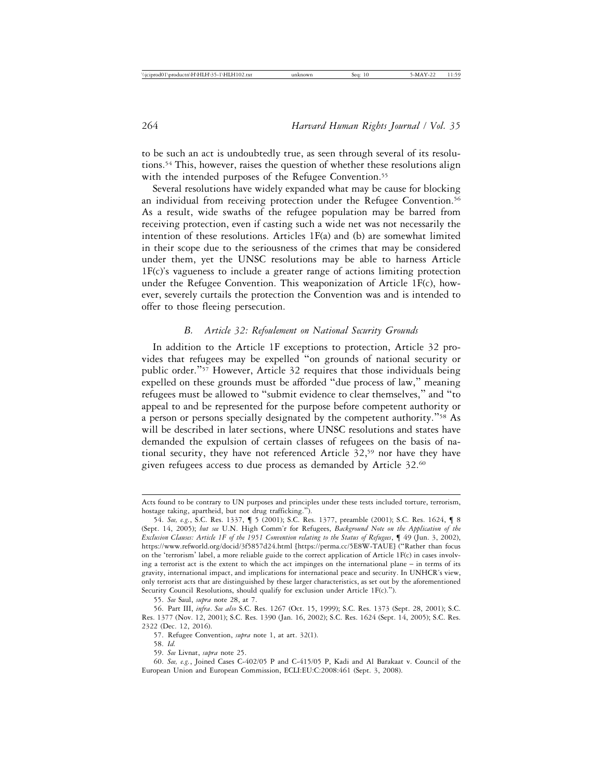to be such an act is undoubtedly true, as seen through several of its resolutions.54 This, however, raises the question of whether these resolutions align with the intended purposes of the Refugee Convention.<sup>55</sup>

Several resolutions have widely expanded what may be cause for blocking an individual from receiving protection under the Refugee Convention.<sup>56</sup> As a result, wide swaths of the refugee population may be barred from receiving protection, even if casting such a wide net was not necessarily the intention of these resolutions. Articles 1F(a) and (b) are somewhat limited in their scope due to the seriousness of the crimes that may be considered under them, yet the UNSC resolutions may be able to harness Article 1F(c)'s vagueness to include a greater range of actions limiting protection under the Refugee Convention. This weaponization of Article 1F(c), however, severely curtails the protection the Convention was and is intended to offer to those fleeing persecution.

## *B. Article 32: Refoulement on National Security Grounds*

In addition to the Article 1F exceptions to protection, Article 32 provides that refugees may be expelled "on grounds of national security or public order."57 However, Article 32 requires that those individuals being expelled on these grounds must be afforded "due process of law," meaning refugees must be allowed to "submit evidence to clear themselves," and "to appeal to and be represented for the purpose before competent authority or a person or persons specially designated by the competent authority."58 As will be described in later sections, where UNSC resolutions and states have demanded the expulsion of certain classes of refugees on the basis of national security, they have not referenced Article 32,<sup>59</sup> nor have they have given refugees access to due process as demanded by Article 32.60

55. *See* Saul, *supra* note 28, at 7.

59. *See* Livnat, *supra* note 25.

60. *See, e.g.*, Joined Cases C-402/05 P and C-415/05 P, Kadi and Al Barakaat v. Council of the European Union and European Commission, ECLI:EU:C:2008:461 (Sept. 3, 2008).

Acts found to be contrary to UN purposes and principles under these tests included torture, terrorism, hostage taking, apartheid, but not drug trafficking.").

<sup>54.</sup> *See, e.g.*, S.C. Res. 1337, ¶ 5 (2001); S.C. Res. 1377, preamble (2001); S.C. Res. 1624, ¶ 8 (Sept. 14, 2005); *but see* U.N. High Comm'r for Refugees, *Background Note on the Application of the Exclusion Clauses: Article 1F of the 1951 Convention relating to the Status of Refugees*, ¶ 49 (Jun. 3, 2002), https://www.refworld.org/docid/3f5857d24.html [https://perma.cc/5E8W-TAUE] ("Rather than focus on the 'terrorism' label, a more reliable guide to the correct application of Article 1F(c) in cases involving a terrorist act is the extent to which the act impinges on the international plane – in terms of its gravity, international impact, and implications for international peace and security. In UNHCR's view, only terrorist acts that are distinguished by these larger characteristics, as set out by the aforementioned Security Council Resolutions, should qualify for exclusion under Article 1F(c).").

<sup>56.</sup> Part III, *infra*. *See also* S.C. Res. 1267 (Oct. 15, 1999); S.C. Res. 1373 (Sept. 28, 2001); S.C. Res. 1377 (Nov. 12, 2001); S.C. Res. 1390 (Jan. 16, 2002); S.C. Res. 1624 (Sept. 14, 2005); S.C. Res. 2322 (Dec. 12, 2016).

<sup>57.</sup> Refugee Convention, *supra* note 1, at art. 32(1).

<sup>58.</sup> *Id.*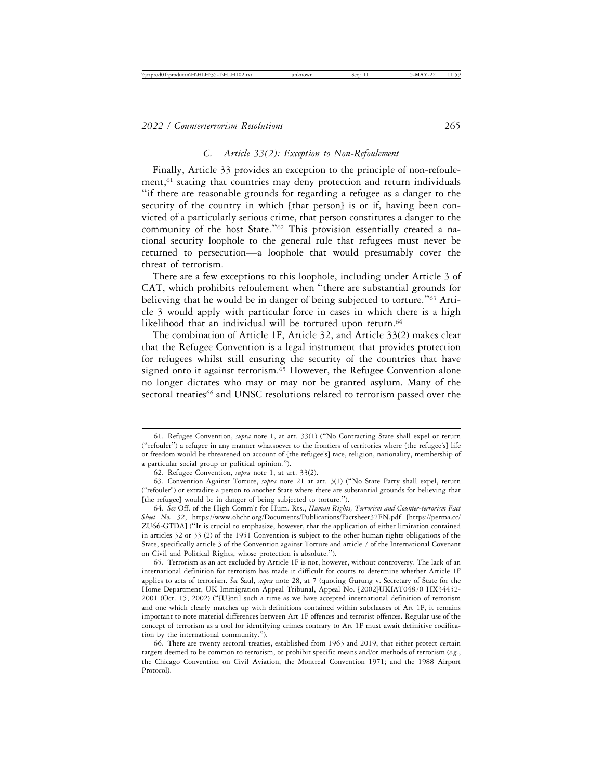## *C. Article 33(2): Exception to Non-Refoulement*

Finally, Article 33 provides an exception to the principle of non-refoulement,<sup>61</sup> stating that countries may deny protection and return individuals "if there are reasonable grounds for regarding a refugee as a danger to the security of the country in which [that person] is or if, having been convicted of a particularly serious crime, that person constitutes a danger to the community of the host State."62 This provision essentially created a national security loophole to the general rule that refugees must never be returned to persecution—a loophole that would presumably cover the threat of terrorism.

There are a few exceptions to this loophole, including under Article 3 of CAT, which prohibits refoulement when "there are substantial grounds for believing that he would be in danger of being subjected to torture."63 Article 3 would apply with particular force in cases in which there is a high likelihood that an individual will be tortured upon return.<sup>64</sup>

The combination of Article 1F, Article 32, and Article 33(2) makes clear that the Refugee Convention is a legal instrument that provides protection for refugees whilst still ensuring the security of the countries that have signed onto it against terrorism.<sup>65</sup> However, the Refugee Convention alone no longer dictates who may or may not be granted asylum. Many of the sectoral treaties<sup>66</sup> and UNSC resolutions related to terrorism passed over the

64. *See* Off. of the High Comm'r for Hum. Rts., *Human Rights, Terrorism and Counter-terrorism Fact Sheet No. 32*, https://www.ohchr.org/Documents/Publications/Factsheet32EN.pdf [https://perma.cc/ ZU66-GTDA] ("It is crucial to emphasize, however, that the application of either limitation contained in articles 32 or 33 (2) of the 1951 Convention is subject to the other human rights obligations of the State, specifically article 3 of the Convention against Torture and article 7 of the International Covenant on Civil and Political Rights, whose protection is absolute.").

65. Terrorism as an act excluded by Article 1F is not, however, without controversy. The lack of an international definition for terrorism has made it difficult for courts to determine whether Article 1F applies to acts of terrorism. *See* Saul, *supra* note 28, at 7 (quoting Gurung v. Secretary of State for the Home Department, UK Immigration Appeal Tribunal, Appeal No. [2002]UKIAT04870 HX34452- 2001 (Oct. 15, 2002) ("[U]ntil such a time as we have accepted international definition of terrorism and one which clearly matches up with definitions contained within subclauses of Art 1F, it remains important to note material differences between Art 1F offences and terrorist offences. Regular use of the concept of terrorism as a tool for identifying crimes contrary to Art 1F must await definitive codification by the international community.").

66. There are twenty sectoral treaties, established from 1963 and 2019, that either protect certain targets deemed to be common to terrorism, or prohibit specific means and/or methods of terrorism (*e.g.*, the Chicago Convention on Civil Aviation; the Montreal Convention 1971; and the 1988 Airport Protocol).

<sup>61.</sup> Refugee Convention, *supra* note 1, at art. 33(1) ("No Contracting State shall expel or return ("refouler") a refugee in any manner whatsoever to the frontiers of territories where [the refugee's] life or freedom would be threatened on account of [the refugee's] race, religion, nationality, membership of a particular social group or political opinion.").

<sup>62.</sup> Refugee Convention, *supra* note 1, at art. 33(2).

<sup>63.</sup> Convention Against Torture, *supra* note 21 at art. 3(1) ("No State Party shall expel, return ("refouler") or extradite a person to another State where there are substantial grounds for believing that [the refugee] would be in danger of being subjected to torture.").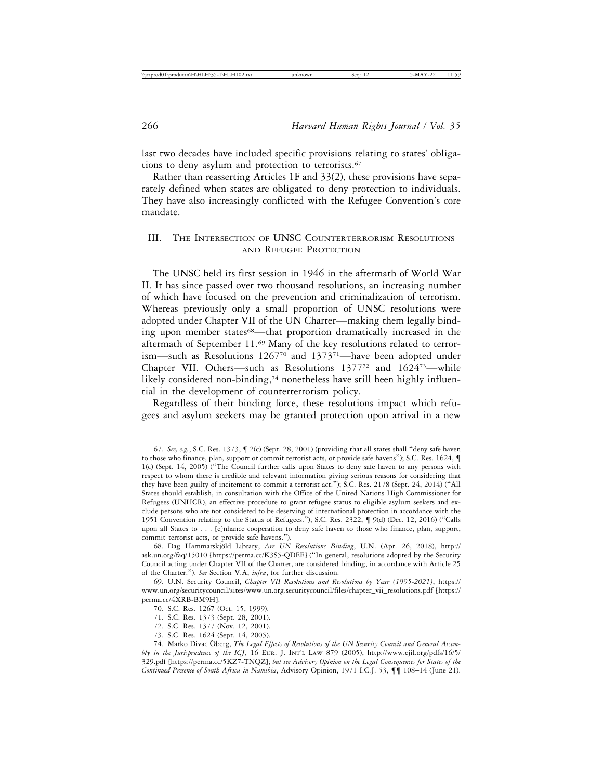last two decades have included specific provisions relating to states' obligations to deny asylum and protection to terrorists.<sup>67</sup>

Rather than reasserting Articles 1F and 33(2), these provisions have separately defined when states are obligated to deny protection to individuals. They have also increasingly conflicted with the Refugee Convention's core mandate.

# III. THE INTERSECTION OF UNSC COUNTERTERRORISM RESOLUTIONS AND REFUGEE PROTECTION

The UNSC held its first session in 1946 in the aftermath of World War II. It has since passed over two thousand resolutions, an increasing number of which have focused on the prevention and criminalization of terrorism. Whereas previously only a small proportion of UNSC resolutions were adopted under Chapter VII of the UN Charter—making them legally binding upon member states<sup>68</sup>—that proportion dramatically increased in the aftermath of September 11.69 Many of the key resolutions related to terrorism—such as Resolutions  $1267^{70}$  and  $1373^{71}$ —have been adopted under Chapter VII. Others—such as Resolutions 137772 and 162473—while likely considered non-binding,<sup>74</sup> nonetheless have still been highly influential in the development of counterterrorism policy.

Regardless of their binding force, these resolutions impact which refugees and asylum seekers may be granted protection upon arrival in a new

<sup>67.</sup> *See, e.g.*, S.C. Res. 1373, ¶ 2(c) (Sept. 28, 2001) (providing that all states shall "deny safe haven to those who finance, plan, support or commit terrorist acts, or provide safe havens"); S.C. Res. 1624,  $\P$ 1(c) (Sept. 14, 2005) ("The Council further calls upon States to deny safe haven to any persons with respect to whom there is credible and relevant information giving serious reasons for considering that they have been guilty of incitement to commit a terrorist act."); S.C. Res. 2178 (Sept. 24, 2014) ("All States should establish, in consultation with the Office of the United Nations High Commissioner for Refugees (UNHCR), an effective procedure to grant refugee status to eligible asylum seekers and exclude persons who are not considered to be deserving of international protection in accordance with the 1951 Convention relating to the Status of Refugees."); S.C. Res. 2322, ¶ 9(d) (Dec. 12, 2016) ("Calls upon all States to . . . [e]nhance cooperation to deny safe haven to those who finance, plan, support, commit terrorist acts, or provide safe havens.").

<sup>68.</sup> Dag Hammarskjöld Library, *Are UN Resolutions Binding*, U.N. (Apr. 26, 2018), http:// ask.un.org/faq/15010 [https://perma.cc/K3S5-QDEE] ("In general, resolutions adopted by the Security Council acting under Chapter VII of the Charter, are considered binding, in accordance with Article 25 of the Charter."). *See* Section V.A, *infra*, for further discussion.

<sup>69.</sup> U.N. Security Council, *Chapter VII Resolutions and Resolutions by Year (1995-2021)*, https:// www.un.org/securitycouncil/sites/www.un.org.securitycouncil/files/chapter\_vii\_resolutions.pdf [https:// perma.cc/4XRB-BM9H].

<sup>70.</sup> S.C. Res. 1267 (Oct. 15, 1999).

<sup>71.</sup> S.C. Res. 1373 (Sept. 28, 2001).

<sup>72.</sup> S.C. Res. 1377 (Nov. 12, 2001).

<sup>73.</sup> S.C. Res. 1624 (Sept. 14, 2005).

<sup>74.</sup> Marko Divac Oberg, The Legal Effects of Resolutions of the UN Security Council and General Assem*bly in the Jurisprudence of the ICJ*, 16 EUR. J. INT'L LAW 879 (2005), http://www.ejil.org/pdfs/16/5/ 329.pdf [https://perma.cc/5KZ7-TNQZ]; *but see Advisory Opinion on the Legal Consequences for States of the Continued Presence of South Africa in Namibia*, Advisory Opinion, 1971 I.C.J. 53, ¶¶ 108–14 (June 21).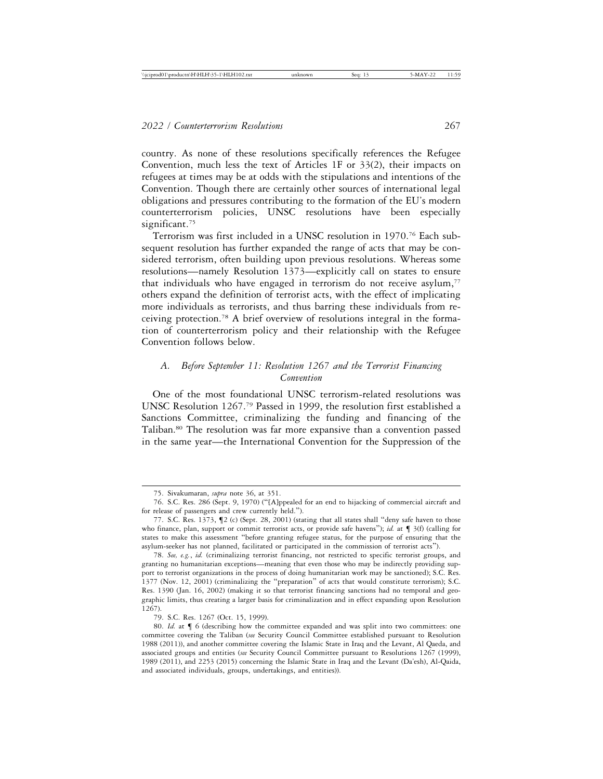country. As none of these resolutions specifically references the Refugee Convention, much less the text of Articles 1F or 33(2), their impacts on refugees at times may be at odds with the stipulations and intentions of the Convention. Though there are certainly other sources of international legal obligations and pressures contributing to the formation of the EU's modern counterterrorism policies, UNSC resolutions have been especially significant.<sup>75</sup>

Terrorism was first included in a UNSC resolution in 1970.76 Each subsequent resolution has further expanded the range of acts that may be considered terrorism, often building upon previous resolutions. Whereas some resolutions—namely Resolution 1373—explicitly call on states to ensure that individuals who have engaged in terrorism do not receive asylum, $77$ others expand the definition of terrorist acts, with the effect of implicating more individuals as terrorists, and thus barring these individuals from receiving protection.78 A brief overview of resolutions integral in the formation of counterterrorism policy and their relationship with the Refugee Convention follows below.

## *A. Before September 11: Resolution 1267 and the Terrorist Financing Convention*

One of the most foundational UNSC terrorism-related resolutions was UNSC Resolution 1267.79 Passed in 1999, the resolution first established a Sanctions Committee, criminalizing the funding and financing of the Taliban.80 The resolution was far more expansive than a convention passed in the same year—the International Convention for the Suppression of the

79. S.C. Res. 1267 (Oct. 15, 1999).

<sup>75.</sup> Sivakumaran, *supra* note 36, at 351.

<sup>76.</sup> S.C. Res. 286 (Sept. 9, 1970) ("[A]ppealed for an end to hijacking of commercial aircraft and for release of passengers and crew currently held.").

<sup>77.</sup> S.C. Res. 1373, ¶2 (c) (Sept. 28, 2001) (stating that all states shall "deny safe haven to those who finance, plan, support or commit terrorist acts, or provide safe havens"); *id.* at  $\P$  3(f) (calling for states to make this assessment "before granting refugee status, for the purpose of ensuring that the asylum-seeker has not planned, facilitated or participated in the commission of terrorist acts").

<sup>78.</sup> *See, e.g.*, *id.* (criminalizing terrorist financing, not restricted to specific terrorist groups, and granting no humanitarian exceptions—meaning that even those who may be indirectly providing support to terrorist organizations in the process of doing humanitarian work may be sanctioned); S.C. Res. 1377 (Nov. 12, 2001) (criminalizing the "preparation" of acts that would constitute terrorism); S.C. Res. 1390 (Jan. 16, 2002) (making it so that terrorist financing sanctions had no temporal and geographic limits, thus creating a larger basis for criminalization and in effect expanding upon Resolution 1267).

<sup>80.</sup> *Id.* at  $\P$  6 (describing how the committee expanded and was split into two committees: one committee covering the Taliban (*see* Security Council Committee established pursuant to Resolution 1988 (2011)), and another committee covering the Islamic State in Iraq and the Levant, Al Qaeda, and associated groups and entities (*see* Security Council Committee pursuant to Resolutions 1267 (1999), 1989 (2011), and 2253 (2015) concerning the Islamic State in Iraq and the Levant (Da'esh), Al-Qaida, and associated individuals, groups, undertakings, and entities)).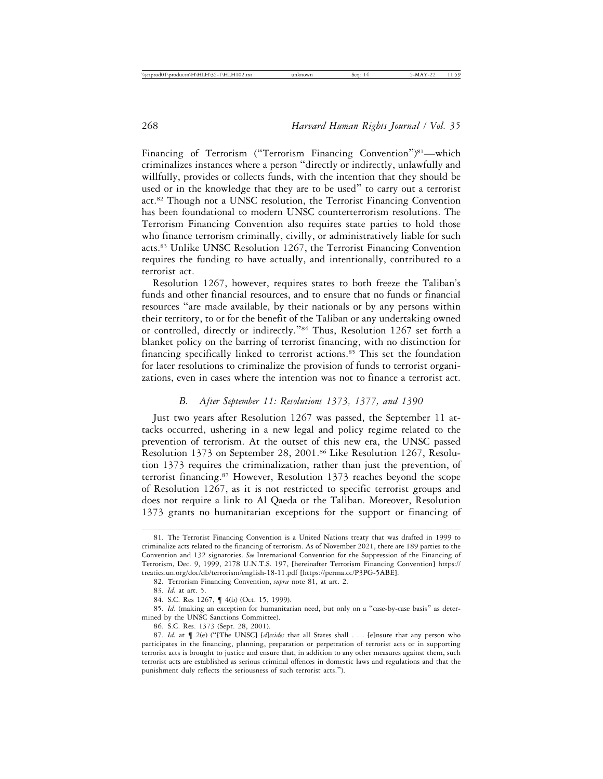Financing of Terrorism ("Terrorism Financing Convention")<sup>81</sup>—which criminalizes instances where a person "directly or indirectly, unlawfully and willfully, provides or collects funds, with the intention that they should be used or in the knowledge that they are to be used" to carry out a terrorist act.82 Though not a UNSC resolution, the Terrorist Financing Convention has been foundational to modern UNSC counterterrorism resolutions. The Terrorism Financing Convention also requires state parties to hold those who finance terrorism criminally, civilly, or administratively liable for such acts.83 Unlike UNSC Resolution 1267, the Terrorist Financing Convention requires the funding to have actually, and intentionally, contributed to a terrorist act.

Resolution 1267, however, requires states to both freeze the Taliban's funds and other financial resources, and to ensure that no funds or financial resources "are made available, by their nationals or by any persons within their territory, to or for the benefit of the Taliban or any undertaking owned or controlled, directly or indirectly."84 Thus, Resolution 1267 set forth a blanket policy on the barring of terrorist financing, with no distinction for financing specifically linked to terrorist actions.<sup>85</sup> This set the foundation for later resolutions to criminalize the provision of funds to terrorist organizations, even in cases where the intention was not to finance a terrorist act.

## *B. After September 11: Resolutions 1373, 1377, and 1390*

Just two years after Resolution 1267 was passed, the September 11 attacks occurred, ushering in a new legal and policy regime related to the prevention of terrorism. At the outset of this new era, the UNSC passed Resolution 1373 on September 28, 2001.86 Like Resolution 1267, Resolution 1373 requires the criminalization, rather than just the prevention, of terrorist financing.87 However, Resolution 1373 reaches beyond the scope of Resolution 1267, as it is not restricted to specific terrorist groups and does not require a link to Al Qaeda or the Taliban. Moreover, Resolution 1373 grants no humanitarian exceptions for the support or financing of

<sup>81.</sup> The Terrorist Financing Convention is a United Nations treaty that was drafted in 1999 to criminalize acts related to the financing of terrorism. As of November 2021, there are 189 parties to the Convention and 132 signatories. *See* International Convention for the Suppression of the Financing of Terrorism, Dec. 9, 1999, 2178 U.N.T.S. 197, [hereinafter Terrorism Financing Convention] https:// treaties.un.org/doc/db/terrorism/english-18-11.pdf [https://perma.cc/P3PG-5ABE].

<sup>82.</sup> Terrorism Financing Convention, *supra* note 81, at art. 2.

<sup>83.</sup> *Id.* at art. 5.

<sup>84.</sup> S.C. Res 1267, ¶ 4(b) (Oct. 15, 1999).

<sup>85.</sup> *Id*. (making an exception for humanitarian need, but only on a "case-by-case basis" as determined by the UNSC Sanctions Committee).

<sup>86.</sup> S.C. Res. 1373 (Sept. 28, 2001).

<sup>87.</sup> *Id.* at ¶ 2(e) ("[The UNSC] [*d*]*ecides* that all States shall . . . [e]nsure that any person who participates in the financing, planning, preparation or perpetration of terrorist acts or in supporting terrorist acts is brought to justice and ensure that, in addition to any other measures against them, such terrorist acts are established as serious criminal offences in domestic laws and regulations and that the punishment duly reflects the seriousness of such terrorist acts.").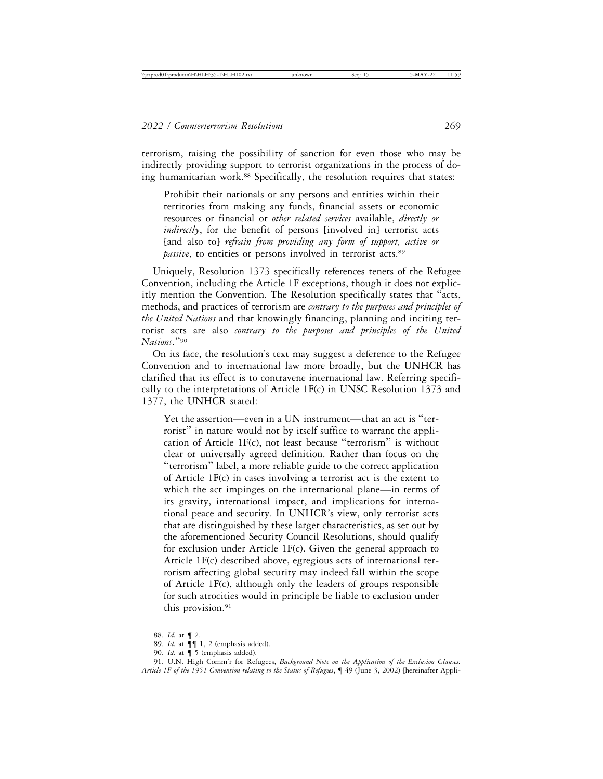terrorism, raising the possibility of sanction for even those who may be indirectly providing support to terrorist organizations in the process of doing humanitarian work.<sup>88</sup> Specifically, the resolution requires that states:

Prohibit their nationals or any persons and entities within their territories from making any funds, financial assets or economic resources or financial or *other related services* available, *directly or indirectly*, for the benefit of persons [involved in] terrorist acts [and also to] *refrain from providing any form of support, active or passive*, to entities or persons involved in terrorist acts.<sup>89</sup>

Uniquely, Resolution 1373 specifically references tenets of the Refugee Convention, including the Article 1F exceptions, though it does not explicitly mention the Convention. The Resolution specifically states that "acts, methods, and practices of terrorism are *contrary to the purposes and principles of the United Nations* and that knowingly financing, planning and inciting terrorist acts are also *contrary to the purposes and principles of the United Nations*."<sup>90</sup>

On its face, the resolution's text may suggest a deference to the Refugee Convention and to international law more broadly, but the UNHCR has clarified that its effect is to contravene international law. Referring specifically to the interpretations of Article 1F(c) in UNSC Resolution 1373 and 1377, the UNHCR stated:

Yet the assertion—even in a UN instrument—that an act is "terrorist" in nature would not by itself suffice to warrant the application of Article 1F(c), not least because "terrorism" is without clear or universally agreed definition. Rather than focus on the "terrorism" label, a more reliable guide to the correct application of Article 1F(c) in cases involving a terrorist act is the extent to which the act impinges on the international plane—in terms of its gravity, international impact, and implications for international peace and security. In UNHCR's view, only terrorist acts that are distinguished by these larger characteristics, as set out by the aforementioned Security Council Resolutions, should qualify for exclusion under Article 1F(c). Given the general approach to Article 1F(c) described above, egregious acts of international terrorism affecting global security may indeed fall within the scope of Article 1F(c), although only the leaders of groups responsible for such atrocities would in principle be liable to exclusion under this provision.<sup>91</sup>

<sup>88.</sup> *Id.* at ¶ 2.

<sup>89.</sup> *Id.* at ¶¶ 1, 2 (emphasis added).

<sup>90.</sup> *Id.* at ¶ 5 (emphasis added).

<sup>91.</sup> U.N. High Comm'r for Refugees, *Background Note on the Application of the Exclusion Clauses: Article 1F of the 1951 Convention relating to the Status of Refugees*, ¶ 49 (June 3, 2002) [hereinafter Appli-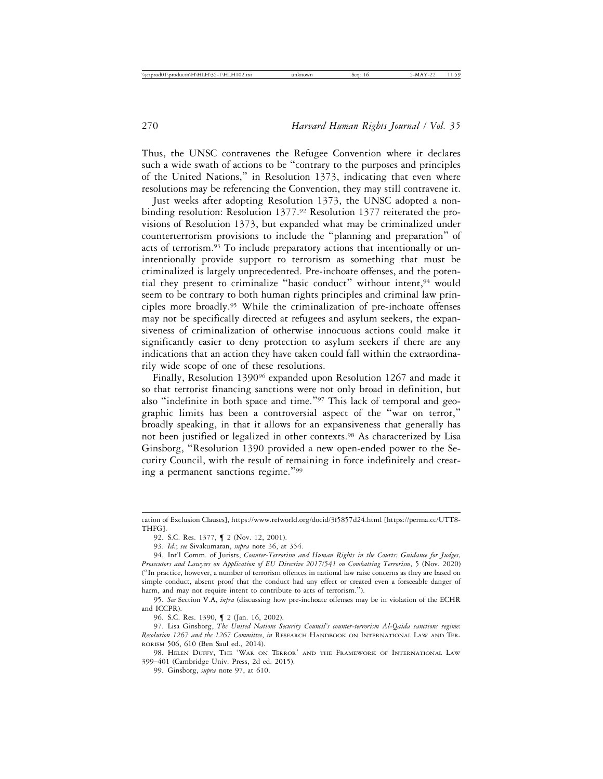Thus, the UNSC contravenes the Refugee Convention where it declares such a wide swath of actions to be "contrary to the purposes and principles of the United Nations," in Resolution 1373, indicating that even where resolutions may be referencing the Convention, they may still contravene it.

Just weeks after adopting Resolution 1373, the UNSC adopted a nonbinding resolution: Resolution 1377.92 Resolution 1377 reiterated the provisions of Resolution 1373, but expanded what may be criminalized under counterterrorism provisions to include the "planning and preparation" of acts of terrorism.93 To include preparatory actions that intentionally or unintentionally provide support to terrorism as something that must be criminalized is largely unprecedented. Pre-inchoate offenses, and the potential they present to criminalize "basic conduct" without intent, 94 would seem to be contrary to both human rights principles and criminal law principles more broadly.95 While the criminalization of pre-inchoate offenses may not be specifically directed at refugees and asylum seekers, the expansiveness of criminalization of otherwise innocuous actions could make it significantly easier to deny protection to asylum seekers if there are any indications that an action they have taken could fall within the extraordinarily wide scope of one of these resolutions.

Finally, Resolution 139096 expanded upon Resolution 1267 and made it so that terrorist financing sanctions were not only broad in definition, but also "indefinite in both space and time."97 This lack of temporal and geographic limits has been a controversial aspect of the "war on terror," broadly speaking, in that it allows for an expansiveness that generally has not been justified or legalized in other contexts.<sup>98</sup> As characterized by Lisa Ginsborg, "Resolution 1390 provided a new open-ended power to the Security Council, with the result of remaining in force indefinitely and creating a permanent sanctions regime."<sup>99</sup>

98. HELEN DUFFY, THE 'WAR ON TERROR' AND THE FRAMEWORK OF INTERNATIONAL LAW 399–401 (Cambridge Univ. Press, 2d ed. 2015).

cation of Exclusion Clauses], https://www.refworld.org/docid/3f5857d24.html [https://perma.cc/UTT8- THFG].

<sup>92.</sup> S.C. Res. 1377,  $\P$  2 (Nov. 12, 2001).

<sup>93.</sup> *Id.*; *see* Sivakumaran, *supra* note 36, at 354.

<sup>94.</sup> Int'l Comm. of Jurists, *Counter-Terrorism and Human Rights in the Courts: Guidance for Judges, Prosecutors and Lawyers on Application of EU Directive 2017/541 on Combatting Terrorism*, 5 (Nov. 2020) ("In practice, however, a number of terrorism offences in national law raise concerns as they are based on simple conduct, absent proof that the conduct had any effect or created even a forseeable danger of harm, and may not require intent to contribute to acts of terrorism.").

<sup>95.</sup> *See* Section V.A, *infra* (discussing how pre-inchoate offenses may be in violation of the ECHR and ICCPR).

<sup>96.</sup> S.C. Res. 1390, ¶ 2 (Jan. 16, 2002).

<sup>97.</sup> Lisa Ginsborg, *The United Nations Security Council's counter-terrorism Al-Qaida sanctions regime: Resolution 1267 and the 1267 Committee*, *in* RESEARCH HANDBOOK ON INTERNATIONAL LAW AND TER-RORISM 506, 610 (Ben Saul ed., 2014).

<sup>99.</sup> Ginsborg, *supra* note 97, at 610.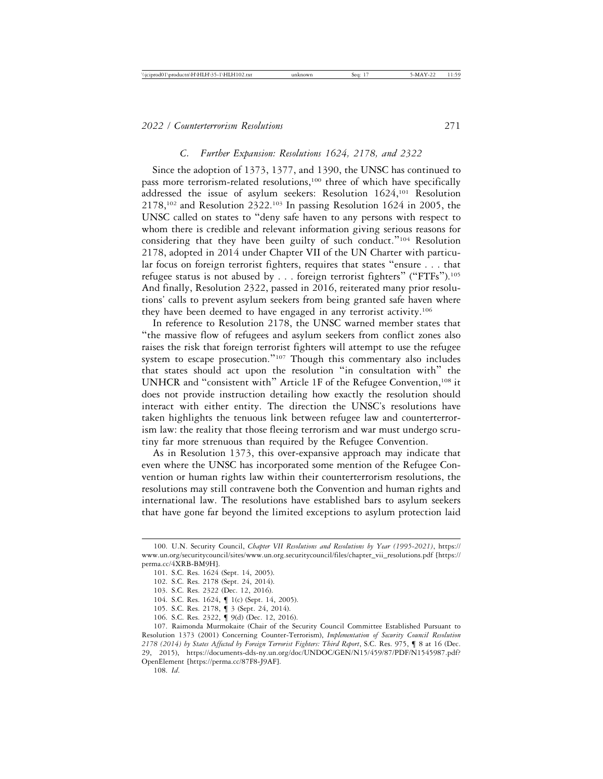#### *C. Further Expansion: Resolutions 1624, 2178, and 2322*

Since the adoption of 1373, 1377, and 1390, the UNSC has continued to pass more terrorism-related resolutions,100 three of which have specifically addressed the issue of asylum seekers: Resolution 1624,101 Resolution  $2178,102$  and Resolution  $2322.103$  In passing Resolution 1624 in 2005, the UNSC called on states to "deny safe haven to any persons with respect to whom there is credible and relevant information giving serious reasons for considering that they have been guilty of such conduct."104 Resolution 2178, adopted in 2014 under Chapter VII of the UN Charter with particular focus on foreign terrorist fighters, requires that states "ensure . . . that refugee status is not abused by . . . foreign terrorist fighters" ("FTFs").105 And finally, Resolution 2322, passed in 2016, reiterated many prior resolutions' calls to prevent asylum seekers from being granted safe haven where they have been deemed to have engaged in any terrorist activity.106

In reference to Resolution 2178, the UNSC warned member states that "the massive flow of refugees and asylum seekers from conflict zones also raises the risk that foreign terrorist fighters will attempt to use the refugee system to escape prosecution."<sup>107</sup> Though this commentary also includes that states should act upon the resolution "in consultation with" the UNHCR and "consistent with" Article 1F of the Refugee Convention,<sup>108</sup> it does not provide instruction detailing how exactly the resolution should interact with either entity. The direction the UNSC's resolutions have taken highlights the tenuous link between refugee law and counterterrorism law: the reality that those fleeing terrorism and war must undergo scrutiny far more strenuous than required by the Refugee Convention.

As in Resolution 1373, this over-expansive approach may indicate that even where the UNSC has incorporated some mention of the Refugee Convention or human rights law within their counterterrorism resolutions, the resolutions may still contravene both the Convention and human rights and international law. The resolutions have established bars to asylum seekers that have gone far beyond the limited exceptions to asylum protection laid

<sup>100.</sup> U.N. Security Council, *Chapter VII Resolutions and Resolutions by Year (1995-2021)*, https:// www.un.org/securitycouncil/sites/www.un.org.securitycouncil/files/chapter\_vii\_resolutions.pdf [https:// perma.cc/4XRB-BM9H].

<sup>101.</sup> S.C. Res. 1624 (Sept. 14, 2005).

<sup>102.</sup> S.C. Res. 2178 (Sept. 24, 2014).

<sup>103.</sup> S.C. Res. 2322 (Dec. 12, 2016).

<sup>104.</sup> S.C. Res. 1624, ¶ 1(c) (Sept. 14, 2005).

<sup>105.</sup> S.C. Res. 2178, ¶ 3 (Sept. 24, 2014).

<sup>106.</sup> S.C. Res. 2322, ¶ 9(d) (Dec. 12, 2016).

<sup>107.</sup> Raimonda Murmokaite (Chair of the Security Council Committee Established Pursuant to Resolution 1373 (2001) Concerning Counter-Terrorism), *Implementation of Security Council Resolution 2178 (2014) by States Affected by Foreign Terrorist Fighters: Third Report*, S.C. Res. 975, ¶ 8 at 16 (Dec. 29, 2015), https://documents-dds-ny.un.org/doc/UNDOC/GEN/N15/459/87/PDF/N1545987.pdf? OpenElement [https://perma.cc/87F8-J9AF].

<sup>108.</sup> *Id*.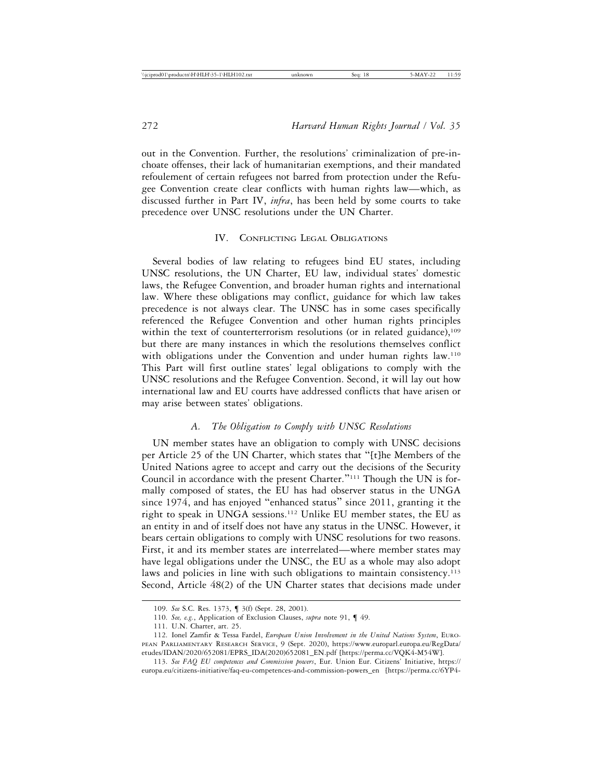out in the Convention. Further, the resolutions' criminalization of pre-inchoate offenses, their lack of humanitarian exemptions, and their mandated refoulement of certain refugees not barred from protection under the Refugee Convention create clear conflicts with human rights law—which, as discussed further in Part IV, *infra*, has been held by some courts to take precedence over UNSC resolutions under the UN Charter.

## IV. CONFLICTING LEGAL OBLIGATIONS

Several bodies of law relating to refugees bind EU states, including UNSC resolutions, the UN Charter, EU law, individual states' domestic laws, the Refugee Convention, and broader human rights and international law. Where these obligations may conflict, guidance for which law takes precedence is not always clear. The UNSC has in some cases specifically referenced the Refugee Convention and other human rights principles within the text of counterterrorism resolutions (or in related guidance),<sup>109</sup> but there are many instances in which the resolutions themselves conflict with obligations under the Convention and under human rights law.<sup>110</sup> This Part will first outline states' legal obligations to comply with the UNSC resolutions and the Refugee Convention. Second, it will lay out how international law and EU courts have addressed conflicts that have arisen or may arise between states' obligations.

#### *A. The Obligation to Comply with UNSC Resolutions*

UN member states have an obligation to comply with UNSC decisions per Article 25 of the UN Charter, which states that "[t]he Members of the United Nations agree to accept and carry out the decisions of the Security Council in accordance with the present Charter."111 Though the UN is formally composed of states, the EU has had observer status in the UNGA since 1974, and has enjoyed "enhanced status" since 2011, granting it the right to speak in UNGA sessions.112 Unlike EU member states, the EU as an entity in and of itself does not have any status in the UNSC. However, it bears certain obligations to comply with UNSC resolutions for two reasons. First, it and its member states are interrelated—where member states may have legal obligations under the UNSC, the EU as a whole may also adopt laws and policies in line with such obligations to maintain consistency.<sup>113</sup> Second, Article 48(2) of the UN Charter states that decisions made under

<sup>109.</sup> *See* S.C. Res. 1373, ¶ 3(f) (Sept. 28, 2001).

<sup>110.</sup> *See, e.g.*, Application of Exclusion Clauses, *supra* note 91, ¶ 49.

<sup>111.</sup> U.N. Charter, art. 25.

<sup>112.</sup> Ionel Zamfir & Tessa Fardel, *European Union Involvement in the United Nations System*, EURO-PEAN PARLIAMENTARY RESEARCH SERVICE, 9 (Sept. 2020), https://www.europarl.europa.eu/RegData/ etudes/IDAN/2020/652081/EPRS\_IDA(2020)652081\_EN.pdf [https://perma.cc/VQK4-M54W].

<sup>113.</sup> *See FAQ EU competences and Commission powers*, Eur. Union Eur. Citizens' Initiative, https:// europa.eu/citizens-initiative/faq-eu-competences-and-commission-powers\_en [https://perma.cc/6YP4-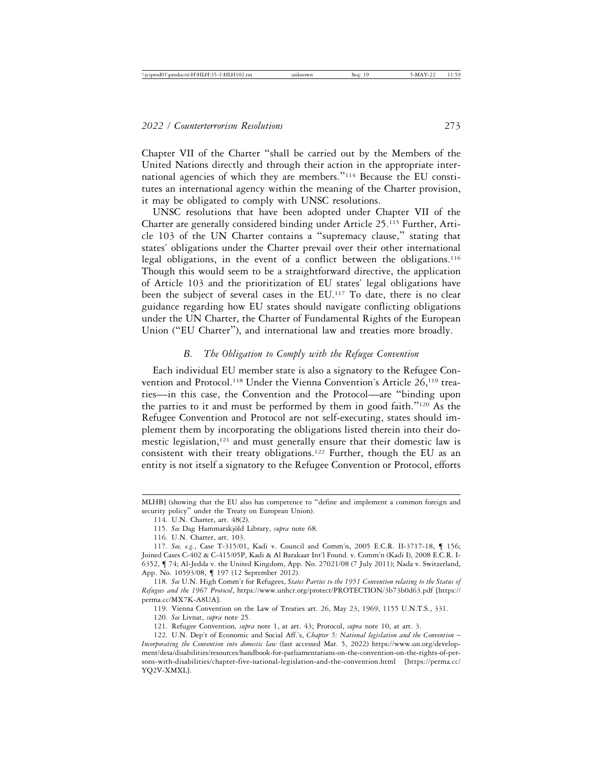Chapter VII of the Charter "shall be carried out by the Members of the United Nations directly and through their action in the appropriate international agencies of which they are members."114 Because the EU constitutes an international agency within the meaning of the Charter provision, it may be obligated to comply with UNSC resolutions.

UNSC resolutions that have been adopted under Chapter VII of the Charter are generally considered binding under Article 25.115 Further, Article 103 of the UN Charter contains a "supremacy clause," stating that states' obligations under the Charter prevail over their other international legal obligations, in the event of a conflict between the obligations.116 Though this would seem to be a straightforward directive, the application of Article 103 and the prioritization of EU states' legal obligations have been the subject of several cases in the EU.117 To date, there is no clear guidance regarding how EU states should navigate conflicting obligations under the UN Charter, the Charter of Fundamental Rights of the European Union ("EU Charter"), and international law and treaties more broadly.

## *B. The Obligation to Comply with the Refugee Convention*

Each individual EU member state is also a signatory to the Refugee Convention and Protocol.<sup>118</sup> Under the Vienna Convention's Article 26,<sup>119</sup> treaties—in this case, the Convention and the Protocol—are "binding upon the parties to it and must be performed by them in good faith."120 As the Refugee Convention and Protocol are not self-executing, states should implement them by incorporating the obligations listed therein into their domestic legislation,<sup>121</sup> and must generally ensure that their domestic law is consistent with their treaty obligations.122 Further, though the EU as an entity is not itself a signatory to the Refugee Convention or Protocol, efforts

MLHB] (showing that the EU also has competence to "define and implement a common foreign and security policy" under the Treaty on European Union).

<sup>114.</sup> U.N. Charter, art. 48(2).

<sup>115.</sup> See Dag Hammarskjöld Library, *supra* note 68.

<sup>116.</sup> U.N. Charter, art. 103.

<sup>117.</sup> *See, e.g.*, Case T-315/01, Kadi v. Council and Comm'n, 2005 E.C.R. II-3717-18, ¶ 156; Joined Cases C-402 & C-415/05P, Kadi & Al Barakaat Int'l Found. v. Comm'n (Kadi I), 2008 E.C.R. I-6352, ¶ 74; Al-Jedda v. the United Kingdom, App. No. 27021/08 (7 July 2011); Nada v. Switzerland, App. No. 10593/08, ¶ 197 (12 September 2012).

<sup>118.</sup> *See* U.N. High Comm'r for Refugees, *States Parties to the 1951 Convention relating to the Status of Refugees and the 1967 Protocol*, https://www.unhcr.org/protect/PROTECTION/3b73b0d63.pdf [https:// perma.cc/MX7K-A8UA].

<sup>119.</sup> Vienna Convention on the Law of Treaties art. 26, May 23, 1969, 1155 U.N.T.S., 331.

<sup>120.</sup> *See* Livnat, *supra* note 25.

<sup>121.</sup> Refugee Convention*, supra* note 1, at art. 43; Protocol, *supra* note 10, at art. 3.

<sup>122.</sup> U.N. Dep't of Economic and Social Aff.'s, *Chapter 5: National legislation and the Convention* – *Incorporating the Convention into domestic law* (last accessed Mar. 5, 2022) https://www.un.org/development/desa/disabilities/resources/handbook-for-parliamentarians-on-the-convention-on-the-rights-of-persons-with-disabilities/chapter-five-national-legislation-and-the-convention.html [https://perma.cc/ YQ2V-XMXL].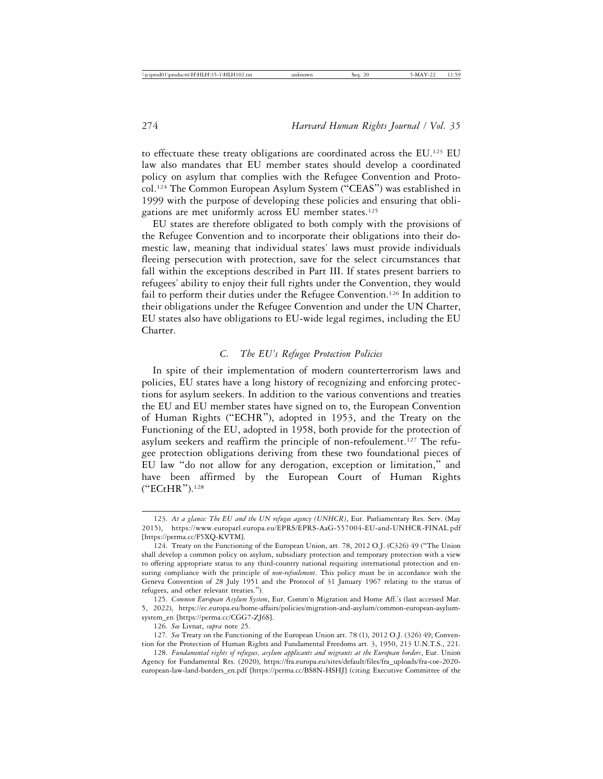to effectuate these treaty obligations are coordinated across the EU.123 EU law also mandates that EU member states should develop a coordinated policy on asylum that complies with the Refugee Convention and Protocol.124 The Common European Asylum System ("CEAS") was established in 1999 with the purpose of developing these policies and ensuring that obligations are met uniformly across EU member states.125

EU states are therefore obligated to both comply with the provisions of the Refugee Convention and to incorporate their obligations into their domestic law, meaning that individual states' laws must provide individuals fleeing persecution with protection, save for the select circumstances that fall within the exceptions described in Part III. If states present barriers to refugees' ability to enjoy their full rights under the Convention, they would fail to perform their duties under the Refugee Convention.<sup>126</sup> In addition to their obligations under the Refugee Convention and under the UN Charter, EU states also have obligations to EU-wide legal regimes, including the EU Charter.

# *C. The EU's Refugee Protection Policies*

In spite of their implementation of modern counterterrorism laws and policies, EU states have a long history of recognizing and enforcing protections for asylum seekers. In addition to the various conventions and treaties the EU and EU member states have signed on to, the European Convention of Human Rights ("ECHR"), adopted in 1953, and the Treaty on the Functioning of the EU, adopted in 1958, both provide for the protection of asylum seekers and reaffirm the principle of non-refoulement.<sup>127</sup> The refugee protection obligations deriving from these two foundational pieces of EU law "do not allow for any derogation, exception or limitation," and have been affirmed by the European Court of Human Rights ("ECtHR").128

<sup>123.</sup> *At a glance: The EU and the UN refugee agency (UNHCR)*, Eur. Parliamentary Res. Serv. (May 2015), https://www.europarl.europa.eu/EPRS/EPRS-AaG-557004-EU-and-UNHCR-FINAL.pdf [https://perma.cc/F5XQ-KVTM].

<sup>124.</sup> Treaty on the Functioning of the European Union, art. 78, 2012 O.J. (C326) 49 ("The Union shall develop a common policy on asylum, subsidiary protection and temporary protection with a view to offering appropriate status to any third-country national requiring international protection and ensuring compliance with the principle of *non-refoulement*. This policy must be in accordance with the Geneva Convention of 28 July 1951 and the Protocol of 31 January 1967 relating to the status of refugees, and other relevant treaties.").

<sup>125.</sup> *Common European Asylum System*, Eur. Comm'n Migration and Home Aff.'s (last accessed Mar. 5, 2022), https://ec.europa.eu/home-affairs/policies/migration-and-asylum/common-european-asylumsystem\_en [https://perma.cc/CGG7-ZJ6S].

<sup>126.</sup> *See* Livnat, *supra* note 25.

<sup>127.</sup> *See* Treaty on the Functioning of the European Union art. 78 (1), 2012 O.J. (326) 49; Convention for the Protection of Human Rights and Fundamental Freedoms art. 3, 1950, 213 U.N.T.S., 221.

<sup>128.</sup> *Fundamental rights of refugees, asylum applicants and migrants at the European borders*, Eur. Union Agency for Fundamental Rts. (2020), https://fra.europa.eu/sites/default/files/fra\_uploads/fra-coe-2020 european-law-land-borders\_en.pdf [https://perma.cc/BS8N-HSHJ] (citing Executive Committee of the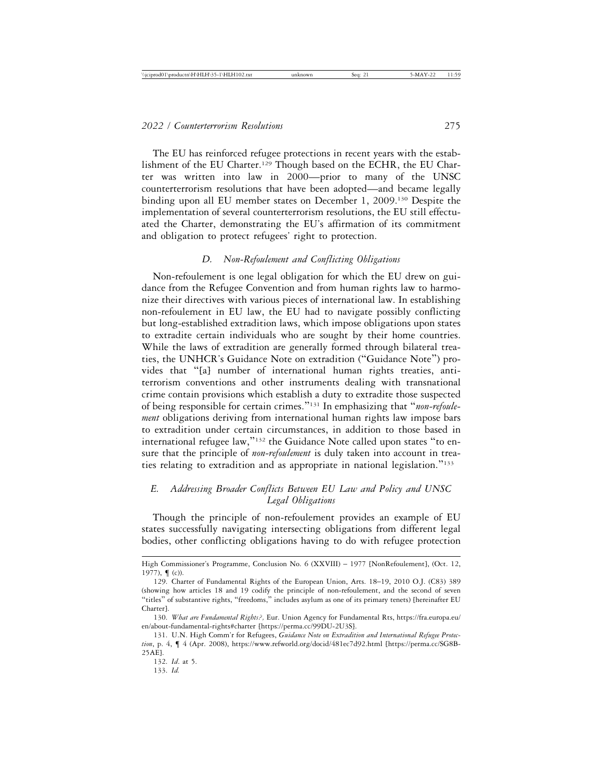The EU has reinforced refugee protections in recent years with the establishment of the EU Charter.<sup>129</sup> Though based on the ECHR, the EU Charter was written into law in 2000—prior to many of the UNSC counterterrorism resolutions that have been adopted—and became legally binding upon all EU member states on December 1, 2009.<sup>130</sup> Despite the implementation of several counterterrorism resolutions, the EU still effectuated the Charter, demonstrating the EU's affirmation of its commitment and obligation to protect refugees' right to protection.

#### *D. Non-Refoulement and Conflicting Obligations*

Non-refoulement is one legal obligation for which the EU drew on guidance from the Refugee Convention and from human rights law to harmonize their directives with various pieces of international law. In establishing non-refoulement in EU law, the EU had to navigate possibly conflicting but long-established extradition laws, which impose obligations upon states to extradite certain individuals who are sought by their home countries. While the laws of extradition are generally formed through bilateral treaties, the UNHCR's Guidance Note on extradition ("Guidance Note") provides that "[a] number of international human rights treaties, antiterrorism conventions and other instruments dealing with transnational crime contain provisions which establish a duty to extradite those suspected of being responsible for certain crimes."131 In emphasizing that "*non-refoulement* obligations deriving from international human rights law impose bars to extradition under certain circumstances, in addition to those based in international refugee law,"132 the Guidance Note called upon states "to ensure that the principle of *non-refoulement* is duly taken into account in treaties relating to extradition and as appropriate in national legislation."<sup>133</sup>

# *E. Addressing Broader Conflicts Between EU Law and Policy and UNSC Legal Obligations*

Though the principle of non-refoulement provides an example of EU states successfully navigating intersecting obligations from different legal bodies, other conflicting obligations having to do with refugee protection

High Commissioner's Programme, Conclusion No. 6 (XXVIII) – 1977 [NonRefoulement], (Oct. 12, 1977), ¶ (c)).

<sup>129.</sup> Charter of Fundamental Rights of the European Union, Arts. 18–19, 2010 O.J. (C83) 389 (showing how articles 18 and 19 codify the principle of non-refoulement, and the second of seven "titles" of substantive rights, "freedoms," includes asylum as one of its primary tenets) [hereinafter EU Charter].

<sup>130.</sup> *What are Fundamental Rights?,* Eur. Union Agency for Fundamental Rts, https://fra.europa.eu/ en/about-fundamental-rights#charter [https://perma.cc/99DU-2U3S].

<sup>131.</sup> U.N. High Comm'r for Refugees, *Guidance Note on Extradition and International Refugee Protection*, p. 4, ¶ 4 (Apr. 2008), https://www.refworld.org/docid/481ec7d92.html [https://perma.cc/SG8B-25AE].

<sup>132.</sup> *Id*. at 5.

<sup>133.</sup> *Id.*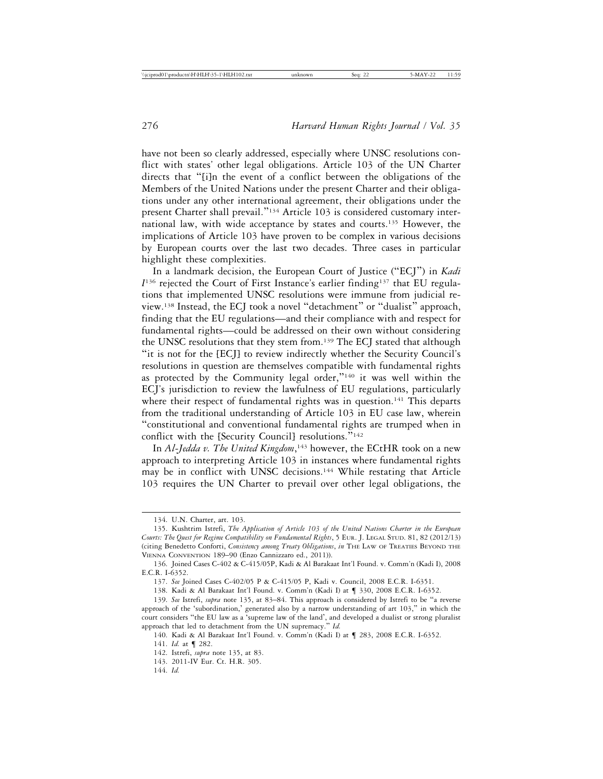have not been so clearly addressed, especially where UNSC resolutions conflict with states' other legal obligations. Article 103 of the UN Charter directs that "[i]n the event of a conflict between the obligations of the Members of the United Nations under the present Charter and their obligations under any other international agreement, their obligations under the present Charter shall prevail."134 Article 103 is considered customary international law, with wide acceptance by states and courts.135 However, the implications of Article 103 have proven to be complex in various decisions by European courts over the last two decades. Three cases in particular highlight these complexities.

In a landmark decision, the European Court of Justice ("ECJ") in *Kadi I*136 rejected the Court of First Instance's earlier finding137 that EU regulations that implemented UNSC resolutions were immune from judicial review.138 Instead, the ECJ took a novel "detachment" or "dualist" approach, finding that the EU regulations—and their compliance with and respect for fundamental rights—could be addressed on their own without considering the UNSC resolutions that they stem from.139 The ECJ stated that although "it is not for the [ECJ] to review indirectly whether the Security Council's resolutions in question are themselves compatible with fundamental rights as protected by the Community legal order,"140 it was well within the ECJ's jurisdiction to review the lawfulness of EU regulations, particularly where their respect of fundamental rights was in question.<sup>141</sup> This departs from the traditional understanding of Article 103 in EU case law, wherein "constitutional and conventional fundamental rights are trumped when in conflict with the [Security Council] resolutions."<sup>142</sup>

In *Al-Jedda v. The United Kingdom*,<sup>143</sup> however, the ECtHR took on a new approach to interpreting Article 103 in instances where fundamental rights may be in conflict with UNSC decisions.144 While restating that Article 103 requires the UN Charter to prevail over other legal obligations, the

<sup>134.</sup> U.N. Charter, art. 103.

<sup>135.</sup> Kushtrim Istrefi, *The Application of Article 103 of the United Nations Charter in the European Courts: The Quest for Regime Compatibility on Fundamental Rights*, 5 EUR. J. LEGAL STUD. 81, 82 (2012/13) (citing Benedetto Conforti, *Consistency among Treaty Obligations*, *in* THE LAW OF TREATIES BEYOND THE VIENNA CONVENTION 189–90 (Enzo Cannizzaro ed., 2011)).

<sup>136.</sup> Joined Cases C-402 & C-415/05P, Kadi & Al Barakaat Int'l Found. v. Comm'n (Kadi I), 2008 E.C.R. I-6352.

<sup>137.</sup> *See* Joined Cases C-402/05 P & C-415/05 P, Kadi v. Council, 2008 E.C.R. I-6351.

<sup>138.</sup> Kadi & Al Barakaat Int'l Found. v. Comm'n (Kadi I) at ¶ 330, 2008 E.C.R. I-6352.

<sup>139.</sup> *See* Istrefi, *supra* note 135, at 83–84. This approach is considered by Istrefi to be "a reverse approach of the 'subordination,' generated also by a narrow understanding of art 103," in which the court considers "the EU law as a 'supreme law of the land', and developed a dualist or strong pluralist approach that led to detachment from the UN supremacy." *Id.*

<sup>140.</sup> Kadi & Al Barakaat Int'l Found. v. Comm'n (Kadi I) at ¶ 283, 2008 E.C.R. I-6352.

<sup>141.</sup> *Id.* at ¶ 282.

<sup>142.</sup> Istrefi, *supra* note 135, at 83.

<sup>143. 2011-</sup>IV Eur. Ct. H.R. 305.

<sup>144.</sup> *Id.*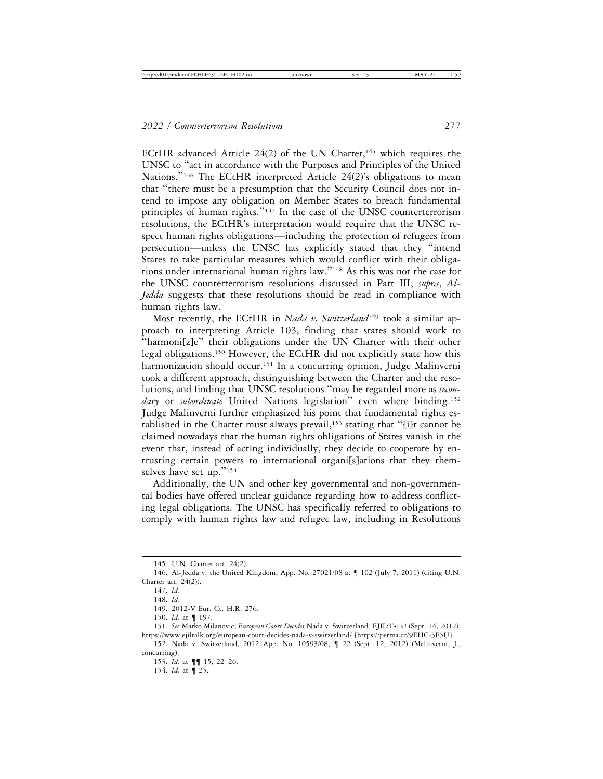ECtHR advanced Article  $24(2)$  of the UN Charter,<sup>145</sup> which requires the UNSC to "act in accordance with the Purposes and Principles of the United Nations."<sup>146</sup> The ECtHR interpreted Article 24(2)'s obligations to mean that "there must be a presumption that the Security Council does not intend to impose any obligation on Member States to breach fundamental principles of human rights."147 In the case of the UNSC counterterrorism resolutions, the ECtHR's interpretation would require that the UNSC respect human rights obligations—including the protection of refugees from persecution—unless the UNSC has explicitly stated that they "intend States to take particular measures which would conflict with their obligations under international human rights law."148 As this was not the case for the UNSC counterterrorism resolutions discussed in Part III, *supra*, *Al-Jedda* suggests that these resolutions should be read in compliance with human rights law.

Most recently, the ECtHR in *Nada v. Switzerland*<sup>149</sup> took a similar approach to interpreting Article 103, finding that states should work to "harmoni[z]e" their obligations under the UN Charter with their other legal obligations.150 However, the ECtHR did not explicitly state how this harmonization should occur.<sup>151</sup> In a concurring opinion, Judge Malinverni took a different approach, distinguishing between the Charter and the resolutions, and finding that UNSC resolutions "may be regarded more as *secondary* or *subordinate* United Nations legislation" even where binding.152 Judge Malinverni further emphasized his point that fundamental rights established in the Charter must always prevail,<sup>153</sup> stating that "[i]t cannot be claimed nowadays that the human rights obligations of States vanish in the event that, instead of acting individually, they decide to cooperate by entrusting certain powers to international organi[s]ations that they themselves have set up."154

Additionally, the UN and other key governmental and non-governmental bodies have offered unclear guidance regarding how to address conflicting legal obligations. The UNSC has specifically referred to obligations to comply with human rights law and refugee law, including in Resolutions

153. *Id.* at ¶¶ 15, 22–26.

154. *Id.* at ¶ 25.

<sup>145.</sup> U.N. Charter art. 24(2).

<sup>146.</sup> Al-Jedda v. the United Kingdom, App. No. 27021/08 at ¶ 102 (July 7, 2011) (citing U.N. Charter art. 24(2)).

<sup>147.</sup> *Id.*

<sup>148.</sup> *Id.*

<sup>149. 2012-</sup>V Eur. Ct. H.R. 276.

<sup>150.</sup> *Id.* at ¶ 197.

<sup>151.</sup> *See* Marko Milanovic, *European Court Decides* Nada v. Switzerland, EJIL:TALK! (Sept. 14, 2012), https://www.ejiltalk.org/european-court-decides-nada-v-switzerland/ [https://perma.cc/9EHC-3E5U].

<sup>152.</sup> Nada v. Switzerland, 2012 App. No. 10593/08, ¶ 22 (Sept. 12, 2012) (Malinverni, J., concurring).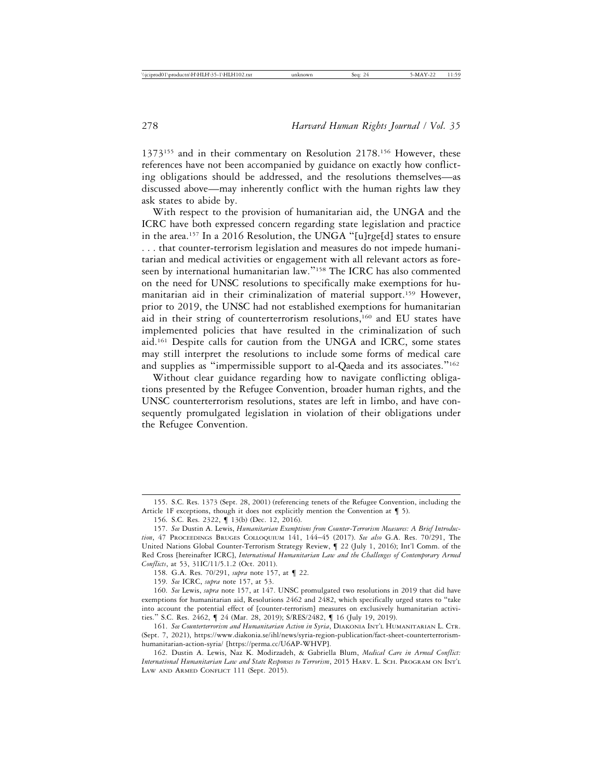1373<sup>155</sup> and in their commentary on Resolution 2178.<sup>156</sup> However, these references have not been accompanied by guidance on exactly how conflicting obligations should be addressed, and the resolutions themselves—as discussed above—may inherently conflict with the human rights law they ask states to abide by.

With respect to the provision of humanitarian aid, the UNGA and the ICRC have both expressed concern regarding state legislation and practice in the area.157 In a 2016 Resolution, the UNGA "[u]rge[d] states to ensure . . . that counter-terrorism legislation and measures do not impede humanitarian and medical activities or engagement with all relevant actors as foreseen by international humanitarian law."<sup>158</sup> The ICRC has also commented on the need for UNSC resolutions to specifically make exemptions for humanitarian aid in their criminalization of material support.159 However, prior to 2019, the UNSC had not established exemptions for humanitarian aid in their string of counterterrorism resolutions,<sup>160</sup> and EU states have implemented policies that have resulted in the criminalization of such aid.161 Despite calls for caution from the UNGA and ICRC, some states may still interpret the resolutions to include some forms of medical care and supplies as "impermissible support to al-Qaeda and its associates."<sup>162</sup>

Without clear guidance regarding how to navigate conflicting obligations presented by the Refugee Convention, broader human rights, and the UNSC counterterrorism resolutions, states are left in limbo, and have consequently promulgated legislation in violation of their obligations under the Refugee Convention.

<sup>155.</sup> S.C. Res. 1373 (Sept. 28, 2001) (referencing tenets of the Refugee Convention, including the Article 1F exceptions, though it does not explicitly mention the Convention at  $\P$  5).

<sup>156.</sup> S.C. Res. 2322, ¶ 13(b) (Dec. 12, 2016).

<sup>157.</sup> *See* Dustin A. Lewis, *Humanitarian Exemptions from Counter-Terrorism Measures: A Brief Introduction*, 47 PROCEEDINGS BRUGES COLLOQUIUM 141, 144–45 (2017). *See also* G.A. Res. 70/291, The United Nations Global Counter-Terrorism Strategy Review, ¶ 22 (July 1, 2016); Int'l Comm. of the Red Cross [hereinafter ICRC], *International Humanitarian Law and the Challenges of Contemporary Armed Conflicts*, at 53, 31IC/11/5.1.2 (Oct. 2011).

<sup>158.</sup> G.A. Res. 70/291, *supra* note 157, at ¶ 22.

<sup>159.</sup> *See* ICRC, *supra* note 157, at 53.

<sup>160.</sup> *See* Lewis, *supra* note 157, at 147. UNSC promulgated two resolutions in 2019 that did have exemptions for humanitarian aid, Resolutions 2462 and 2482, which specifically urged states to "take into account the potential effect of [counter-terrorism] measures on exclusively humanitarian activities." S.C. Res. 2462, ¶ 24 (Mar. 28, 2019); S/RES/2482, ¶ 16 (July 19, 2019).

<sup>161.</sup> *See Counterterrorism and Humanitarian Action in Syria*, DIAKONIA INT'L HUMANITARIAN L. CTR. (Sept. 7, 2021), https://www.diakonia.se/ihl/news/syria-region-publication/fact-sheet-counterterrorismhumanitarian-action-syria/ [https://perma.cc/U6AP-WHVP].

<sup>162.</sup> Dustin A. Lewis, Naz K. Modirzadeh, & Gabriella Blum, *Medical Care in Armed Conflict: International Humanitarian Law and State Responses to Terrorism*, 2015 HARV. L. SCH. PROGRAM ON INT'L LAW AND ARMED CONFLICT 111 (Sept. 2015).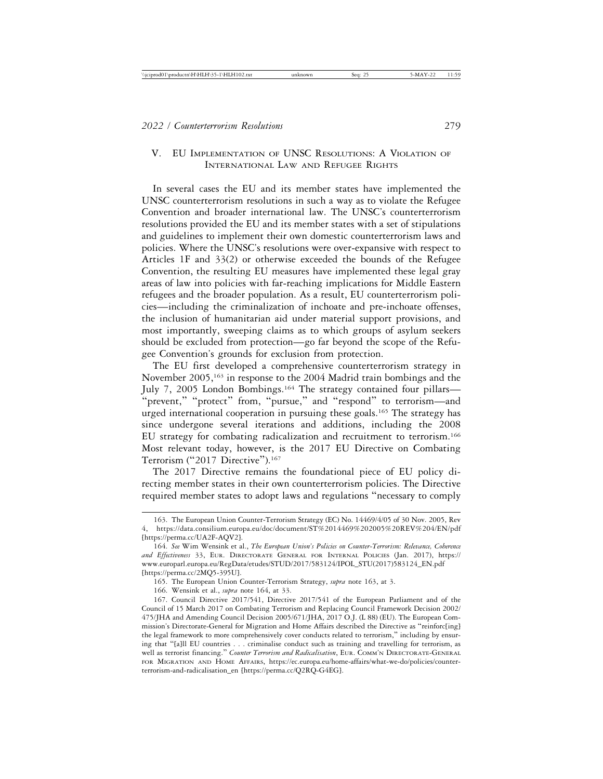# V. EU IMPLEMENTATION OF UNSC RESOLUTIONS: A VIOLATION OF INTERNATIONAL LAW AND REFUGEE RIGHTS

In several cases the EU and its member states have implemented the UNSC counterterrorism resolutions in such a way as to violate the Refugee Convention and broader international law. The UNSC's counterterrorism resolutions provided the EU and its member states with a set of stipulations and guidelines to implement their own domestic counterterrorism laws and policies. Where the UNSC's resolutions were over-expansive with respect to Articles 1F and 33(2) or otherwise exceeded the bounds of the Refugee Convention, the resulting EU measures have implemented these legal gray areas of law into policies with far-reaching implications for Middle Eastern refugees and the broader population. As a result, EU counterterrorism policies—including the criminalization of inchoate and pre-inchoate offenses, the inclusion of humanitarian aid under material support provisions, and most importantly, sweeping claims as to which groups of asylum seekers should be excluded from protection—go far beyond the scope of the Refugee Convention's grounds for exclusion from protection.

The EU first developed a comprehensive counterterrorism strategy in November 2005,163 in response to the 2004 Madrid train bombings and the July 7, 2005 London Bombings.<sup>164</sup> The strategy contained four pillars-"prevent," "protect" from, "pursue," and "respond" to terrorism—and urged international cooperation in pursuing these goals.<sup>165</sup> The strategy has since undergone several iterations and additions, including the 2008 EU strategy for combating radicalization and recruitment to terrorism.166 Most relevant today, however, is the 2017 EU Directive on Combating Terrorism ("2017 Directive").<sup>167</sup>

The 2017 Directive remains the foundational piece of EU policy directing member states in their own counterterrorism policies. The Directive required member states to adopt laws and regulations "necessary to comply

<sup>163.</sup> The European Union Counter-Terrorism Strategy (EC) No. 14469/4/05 of 30 Nov. 2005, Rev 4, https://data.consilium.europa.eu/doc/document/ST%2014469%202005%20REV%204/EN/pdf [https://perma.cc/UA2F-AQV2].

<sup>164.</sup> *See* Wim Wensink et al., *The European Union's Policies on Counter-Terrorism: Relevance, Coherence and Effectiveness* 33, EUR. DIRECTORATE GENERAL FOR INTERNAL POLICIES (Jan. 2017), https:// www.europarl.europa.eu/RegData/etudes/STUD/2017/583124/IPOL\_STU(2017)583124\_EN.pdf [https://perma.cc/2MQ5-395U].

<sup>165.</sup> The European Union Counter-Terrorism Strategy, *supra* note 163, at 3.

<sup>166.</sup> Wensink et al., *supra* note 164, at 33.

<sup>167.</sup> Council Directive 2017/541, Directive 2017/541 of the European Parliament and of the Council of 15 March 2017 on Combating Terrorism and Replacing Council Framework Decision 2002/ 475/JHA and Amending Council Decision 2005/671/JHA, 2017 O.J. (L 88) (EU). The European Commission's Directorate-General for Migration and Home Affairs described the Directive as "reinforc[ing] the legal framework to more comprehensively cover conducts related to terrorism," including by ensuring that "[a]ll EU countries . . . criminalise conduct such as training and travelling for terrorism, as well as terrorist financing." *Counter Terrorism and Radicalisation*, EUR. COMM'N DIRECTORATE-GENERAL FOR MIGRATION AND HOME AFFAIRS, https://ec.europa.eu/home-affairs/what-we-do/policies/counterterrorism-and-radicalisation\_en [https://perma.cc/Q2RQ-G4EG].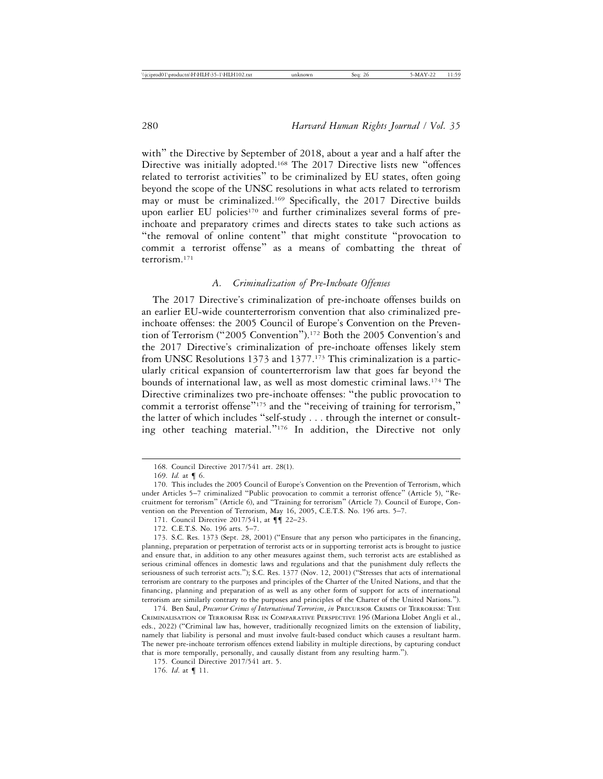with" the Directive by September of 2018, about a year and a half after the Directive was initially adopted.168 The 2017 Directive lists new "offences related to terrorist activities" to be criminalized by EU states, often going beyond the scope of the UNSC resolutions in what acts related to terrorism may or must be criminalized.169 Specifically, the 2017 Directive builds upon earlier EU policies<sup>170</sup> and further criminalizes several forms of preinchoate and preparatory crimes and directs states to take such actions as "the removal of online content" that might constitute "provocation to commit a terrorist offense" as a means of combatting the threat of terrorism.171

## *A. Criminalization of Pre-Inchoate Offenses*

The 2017 Directive's criminalization of pre-inchoate offenses builds on an earlier EU-wide counterterrorism convention that also criminalized preinchoate offenses: the 2005 Council of Europe's Convention on the Prevention of Terrorism ("2005 Convention").172 Both the 2005 Convention's and the 2017 Directive's criminalization of pre-inchoate offenses likely stem from UNSC Resolutions 1373 and 1377.<sup>173</sup> This criminalization is a particularly critical expansion of counterterrorism law that goes far beyond the bounds of international law, as well as most domestic criminal laws.174 The Directive criminalizes two pre-inchoate offenses: "the public provocation to commit a terrorist offense<sup>7175</sup> and the "receiving of training for terrorism," the latter of which includes "self-study . . . through the internet or consulting other teaching material."176 In addition, the Directive not only

174. Ben Saul, *Precursor Crimes of International Terrorism*, *in* PRECURSOR CRIMES OF TERRORISM: THE CRIMINALISATION OF TERRORISM RISK IN COMPARATIVE PERSPECTIVE 196 (Mariona Llobet Angli et al., eds., 2022) ("Criminal law has, however, traditionally recognized limits on the extension of liability, namely that liability is personal and must involve fault-based conduct which causes a resultant harm. The newer pre-inchoate terrorism offences extend liability in multiple directions, by capturing conduct that is more temporally, personally, and causally distant from any resulting harm.").

175. Council Directive 2017/541 art. 5.

176. *Id*. at ¶ 11.

<sup>168.</sup> Council Directive 2017/541 art. 28(1).

<sup>169.</sup> *Id.* at ¶ 6.

<sup>170.</sup> This includes the 2005 Council of Europe's Convention on the Prevention of Terrorism, which under Articles 5–7 criminalized "Public provocation to commit a terrorist offence" (Article 5), "Recruitment for terrorism" (Article 6), and "Training for terrorism" (Article 7). Council of Europe, Convention on the Prevention of Terrorism, May 16, 2005, C.E.T.S. No. 196 arts. 5–7.

<sup>171.</sup> Council Directive 2017/541, at  $\P\P$  22–23.

<sup>172.</sup> C.E.T.S. No. 196 arts. 5–7.

<sup>173.</sup> S.C. Res. 1373 (Sept. 28, 2001) ("Ensure that any person who participates in the financing, planning, preparation or perpetration of terrorist acts or in supporting terrorist acts is brought to justice and ensure that, in addition to any other measures against them, such terrorist acts are established as serious criminal offences in domestic laws and regulations and that the punishment duly reflects the seriousness of such terrorist acts."); S.C. Res. 1377 (Nov. 12, 2001) ("Stresses that acts of international terrorism are contrary to the purposes and principles of the Charter of the United Nations, and that the financing, planning and preparation of as well as any other form of support for acts of international terrorism are similarly contrary to the purposes and principles of the Charter of the United Nations.").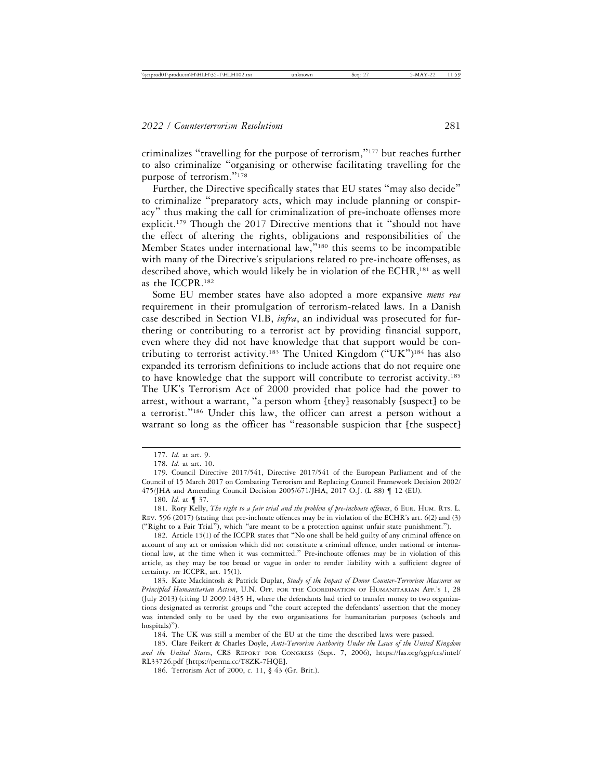criminalizes "travelling for the purpose of terrorism,"177 but reaches further to also criminalize "organising or otherwise facilitating travelling for the purpose of terrorism."<sup>178</sup>

Further, the Directive specifically states that EU states "may also decide" to criminalize "preparatory acts, which may include planning or conspiracy" thus making the call for criminalization of pre-inchoate offenses more explicit.179 Though the 2017 Directive mentions that it "should not have the effect of altering the rights, obligations and responsibilities of the Member States under international law,"<sup>180</sup> this seems to be incompatible with many of the Directive's stipulations related to pre-inchoate offenses, as described above, which would likely be in violation of the ECHR,<sup>181</sup> as well as the ICCPR.182

Some EU member states have also adopted a more expansive *mens rea* requirement in their promulgation of terrorism-related laws. In a Danish case described in Section VI.B, *infra*, an individual was prosecuted for furthering or contributing to a terrorist act by providing financial support, even where they did not have knowledge that that support would be contributing to terrorist activity.183 The United Kingdom ("UK")184 has also expanded its terrorism definitions to include actions that do not require one to have knowledge that the support will contribute to terrorist activity.185 The UK's Terrorism Act of 2000 provided that police had the power to arrest, without a warrant, "a person whom [they] reasonably [suspect] to be a terrorist."186 Under this law, the officer can arrest a person without a warrant so long as the officer has "reasonable suspicion that [the suspect]

180. *Id.* at ¶ 37.

184. The UK was still a member of the EU at the time the described laws were passed.

185. Clare Feikert & Charles Doyle, *Anti-Terrorism Authority Under the Laws of the United Kingdom and the United States*, CRS REPORT FOR CONGRESS (Sept. 7, 2006), https://fas.org/sgp/crs/intel/ RL33726.pdf [https://perma.cc/T8ZK-7HQE].

186. Terrorism Act of 2000, c. 11, § 43 (Gr. Brit.).

<sup>177.</sup> *Id.* at art. 9.

<sup>178.</sup> *Id.* at art. 10.

<sup>179.</sup> Council Directive 2017/541, Directive 2017/541 of the European Parliament and of the Council of 15 March 2017 on Combating Terrorism and Replacing Council Framework Decision 2002/ 475/JHA and Amending Council Decision 2005/671/JHA, 2017 O.J. (L 88) ¶ 12 (EU).

<sup>181.</sup> Rory Kelly, *The right to a fair trial and the problem of pre-inchoate offences*, 6 EUR. HUM. RTS. L. REV. 596 (2017) (stating that pre-inchoate offences may be in violation of the ECHR's art. 6(2) and (3) ("Right to a Fair Trial"), which "are meant to be a protection against unfair state punishment.").

<sup>182.</sup> Article 15(1) of the ICCPR states that "No one shall be held guilty of any criminal offence on account of any act or omission which did not constitute a criminal offence, under national or international law, at the time when it was committed." Pre-inchoate offenses may be in violation of this article, as they may be too broad or vague in order to render liability with a sufficient degree of certainty. *see* ICCPR, art. 15(1).

<sup>183.</sup> Kate Mackintosh & Patrick Duplat, *Study of the Impact of Donor Counter-Terrorism Measures on Principled Humanitarian Action*, U.N. OFF. FOR THE COORDINATION OF HUMANITARIAN AFF.'S 1, 28 (July 2013) (citing U 2009.1435 H, where the defendants had tried to transfer money to two organizations designated as terrorist groups and "the court accepted the defendants' assertion that the money was intended only to be used by the two organisations for humanitarian purposes (schools and hospitals)").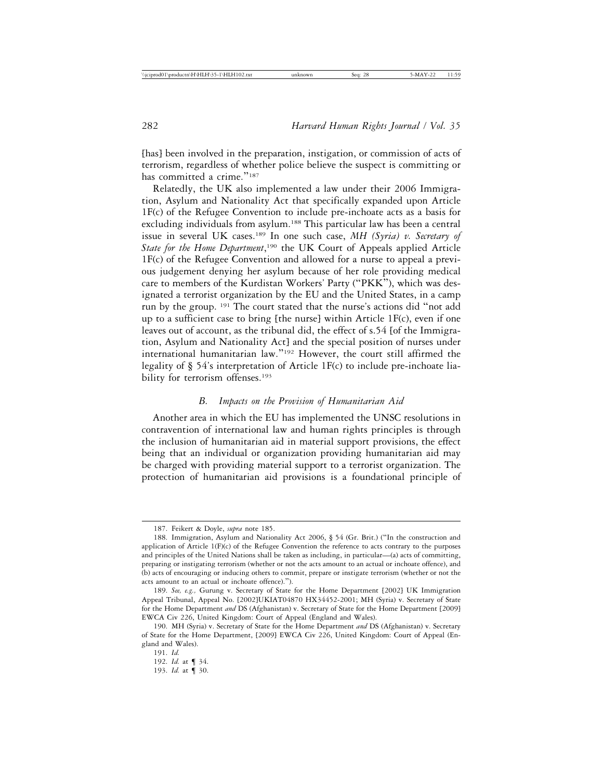[has] been involved in the preparation, instigation, or commission of acts of terrorism, regardless of whether police believe the suspect is committing or has committed a crime."<sup>187</sup>

Relatedly, the UK also implemented a law under their 2006 Immigration, Asylum and Nationality Act that specifically expanded upon Article 1F(c) of the Refugee Convention to include pre-inchoate acts as a basis for excluding individuals from asylum.<sup>188</sup> This particular law has been a central issue in several UK cases.189 In one such case, *MH (Syria) v. Secretary of State for the Home Department*, 190 the UK Court of Appeals applied Article 1F(c) of the Refugee Convention and allowed for a nurse to appeal a previous judgement denying her asylum because of her role providing medical care to members of the Kurdistan Workers' Party ("PKK"), which was designated a terrorist organization by the EU and the United States, in a camp run by the group. 191 The court stated that the nurse's actions did "not add up to a sufficient case to bring [the nurse] within Article  $1F(c)$ , even if one leaves out of account, as the tribunal did, the effect of s.54 [of the Immigration, Asylum and Nationality Act] and the special position of nurses under international humanitarian law."192 However, the court still affirmed the legality of § 54's interpretation of Article 1F(c) to include pre-inchoate liability for terrorism offenses.<sup>193</sup>

#### *B. Impacts on the Provision of Humanitarian Aid*

Another area in which the EU has implemented the UNSC resolutions in contravention of international law and human rights principles is through the inclusion of humanitarian aid in material support provisions, the effect being that an individual or organization providing humanitarian aid may be charged with providing material support to a terrorist organization. The protection of humanitarian aid provisions is a foundational principle of

192. *Id.* at ¶ 34. 193. *Id.* at ¶ 30.

<sup>187.</sup> Feikert & Doyle, *supra* note 185.

<sup>188.</sup> Immigration, Asylum and Nationality Act 2006, § 54 (Gr. Brit.) ("In the construction and application of Article 1(F)(c) of the Refugee Convention the reference to acts contrary to the purposes and principles of the United Nations shall be taken as including, in particular—(a) acts of committing, preparing or instigating terrorism (whether or not the acts amount to an actual or inchoate offence), and (b) acts of encouraging or inducing others to commit, prepare or instigate terrorism (whether or not the acts amount to an actual or inchoate offence).").

<sup>189.</sup> *See, e.g.,* Gurung v. Secretary of State for the Home Department [2002] UK Immigration Appeal Tribunal, Appeal No. [2002]UKIAT04870 HX34452-2001; MH (Syria) v. Secretary of State for the Home Department *and* DS (Afghanistan) v. Secretary of State for the Home Department [2009] EWCA Civ 226, United Kingdom: Court of Appeal (England and Wales).

<sup>190.</sup> MH (Syria) v. Secretary of State for the Home Department *and* DS (Afghanistan) v. Secretary of State for the Home Department, [2009] EWCA Civ 226, United Kingdom: Court of Appeal (England and Wales).

<sup>191.</sup> *Id.*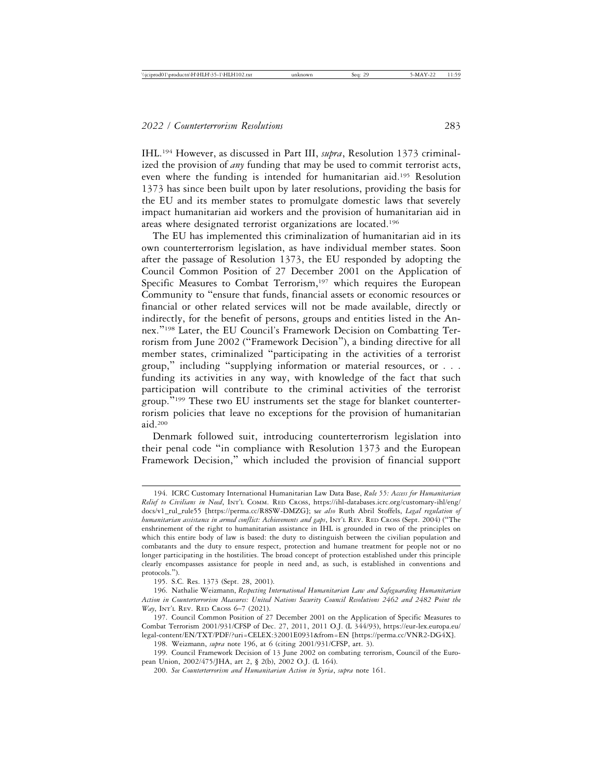IHL.194 However, as discussed in Part III, *supra*, Resolution 1373 criminalized the provision of *any* funding that may be used to commit terrorist acts, even where the funding is intended for humanitarian aid.195 Resolution 1373 has since been built upon by later resolutions, providing the basis for the EU and its member states to promulgate domestic laws that severely impact humanitarian aid workers and the provision of humanitarian aid in areas where designated terrorist organizations are located.196

The EU has implemented this criminalization of humanitarian aid in its own counterterrorism legislation, as have individual member states. Soon after the passage of Resolution 1373, the EU responded by adopting the Council Common Position of 27 December 2001 on the Application of Specific Measures to Combat Terrorism,<sup>197</sup> which requires the European Community to "ensure that funds, financial assets or economic resources or financial or other related services will not be made available, directly or indirectly, for the benefit of persons, groups and entities listed in the Annex."198 Later, the EU Council's Framework Decision on Combatting Terrorism from June 2002 ("Framework Decision"), a binding directive for all member states, criminalized "participating in the activities of a terrorist group," including "supplying information or material resources, or . . . funding its activities in any way, with knowledge of the fact that such participation will contribute to the criminal activities of the terrorist group."199 These two EU instruments set the stage for blanket counterterrorism policies that leave no exceptions for the provision of humanitarian aid.200

Denmark followed suit, introducing counterterrorism legislation into their penal code "in compliance with Resolution 1373 and the European Framework Decision," which included the provision of financial support

198. Weizmann, *supra* note 196, at 6 (citing 2001/931/CFSP, art. 3).

199. Council Framework Decision of 13 June 2002 on combating terrorism, Council of the European Union, 2002/475/JHA, art 2, § 2(b), 2002 O.J. (L 164).

<sup>194.</sup> ICRC Customary International Humanitarian Law Data Base, *Rule 55: Access for Humanitarian Relief to Civilians in Need*, INT'L COMM. RED CROSS, https://ihl-databases.icrc.org/customary-ihl/eng/ docs/v1\_rul\_rule55 [https://perma.cc/R8SW-DMZG]; s*ee also* Ruth Abril Stoffels, *Legal regulation of humanitarian assistance in armed conflict: Achievements and gaps*, INT'L REV. RED CROSS (Sept. 2004) ("The enshrinement of the right to humanitarian assistance in IHL is grounded in two of the principles on which this entire body of law is based: the duty to distinguish between the civilian population and combatants and the duty to ensure respect, protection and humane treatment for people not or no longer participating in the hostilities. The broad concept of protection established under this principle clearly encompasses assistance for people in need and, as such, is established in conventions and protocols.").

<sup>195.</sup> S.C. Res. 1373 (Sept. 28, 2001).

<sup>196.</sup> Nathalie Weizmann, *Respecting International Humanitarian Law and Safeguarding Humanitarian Action in Counterterrorism Measures: United Nations Security Council Resolutions 2462 and 2482 Point the Way*, INT'L REV. RED CROSS 6-7 (2021).

<sup>197.</sup> Council Common Position of 27 December 2001 on the Application of Specific Measures to Combat Terrorism 2001/931/CFSP of Dec. 27, 2011, 2011 O.J. (L 344/93), https://eur-lex.europa.eu/ legal-content/EN/TXT/PDF/?uri=CELEX:32001E0931&from=EN [https://perma.cc/VNR2-DG4X].

<sup>200.</sup> *See Counterterrorism and Humanitarian Action in Syria*, *supra* note 161.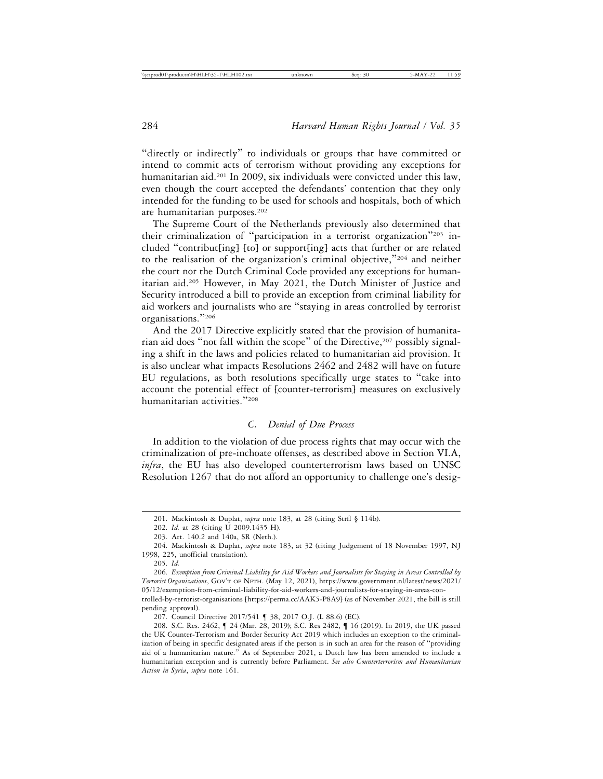"directly or indirectly" to individuals or groups that have committed or intend to commit acts of terrorism without providing any exceptions for humanitarian aid.<sup>201</sup> In 2009, six individuals were convicted under this law, even though the court accepted the defendants' contention that they only intended for the funding to be used for schools and hospitals, both of which are humanitarian purposes.<sup>202</sup>

The Supreme Court of the Netherlands previously also determined that their criminalization of "participation in a terrorist organization"203 included "contribut[ing] [to] or support[ing] acts that further or are related to the realisation of the organization's criminal objective,"204 and neither the court nor the Dutch Criminal Code provided any exceptions for humanitarian aid.205 However, in May 2021, the Dutch Minister of Justice and Security introduced a bill to provide an exception from criminal liability for aid workers and journalists who are "staying in areas controlled by terrorist organisations."<sup>206</sup>

And the 2017 Directive explicitly stated that the provision of humanitarian aid does "not fall within the scope" of the Directive,<sup>207</sup> possibly signaling a shift in the laws and policies related to humanitarian aid provision. It is also unclear what impacts Resolutions 2462 and 2482 will have on future EU regulations, as both resolutions specifically urge states to "take into account the potential effect of [counter-terrorism] measures on exclusively humanitarian activities."<sup>208</sup>

## *C. Denial of Due Process*

In addition to the violation of due process rights that may occur with the criminalization of pre-inchoate offenses, as described above in Section VI.A, *infra*, the EU has also developed counterterrorism laws based on UNSC Resolution 1267 that do not afford an opportunity to challenge one's desig-

pending approval).

<sup>201.</sup> Mackintosh & Duplat, *supra* note 183, at 28 (citing Strfl § 114b).

<sup>202.</sup> *Id.* at 28 (citing U 2009.1435 H).

<sup>203.</sup> Art. 140.2 and 140a, SR (Neth.).

<sup>204.</sup> Mackintosh & Duplat, *supra* note 183, at 32 (citing Judgement of 18 November 1997, NJ 1998, 225, unofficial translation).

<sup>205.</sup> *Id.*

<sup>206.</sup> *Exemption from Criminal Liability for Aid Workers and Journalists for Staying in Areas Controlled by Terrorist Organizations*, GOV'T OF NETH. (May 12, 2021), https://www.government.nl/latest/news/2021/ 05/12/exemption-from-criminal-liability-for-aid-workers-and-journalists-for-staying-in-areas-controlled-by-terrorist-organisations [https://perma.cc/AAK5-P8A9] (as of November 2021, the bill is still

<sup>207.</sup> Council Directive 2017/541 ¶ 38, 2017 O.J. (L 88.6) (EC).

<sup>208.</sup> S.C. Res. 2462, ¶ 24 (Mar. 28, 2019); S.C. Res 2482, ¶ 16 (2019). In 2019, the UK passed the UK Counter-Terrorism and Border Security Act 2019 which includes an exception to the criminalization of being in specific designated areas if the person is in such an area for the reason of "providing aid of a humanitarian nature." As of September 2021, a Dutch law has been amended to include a humanitarian exception and is currently before Parliament. *See also Counterterrorism and Humanitarian Action in Syria*, *supra* note 161.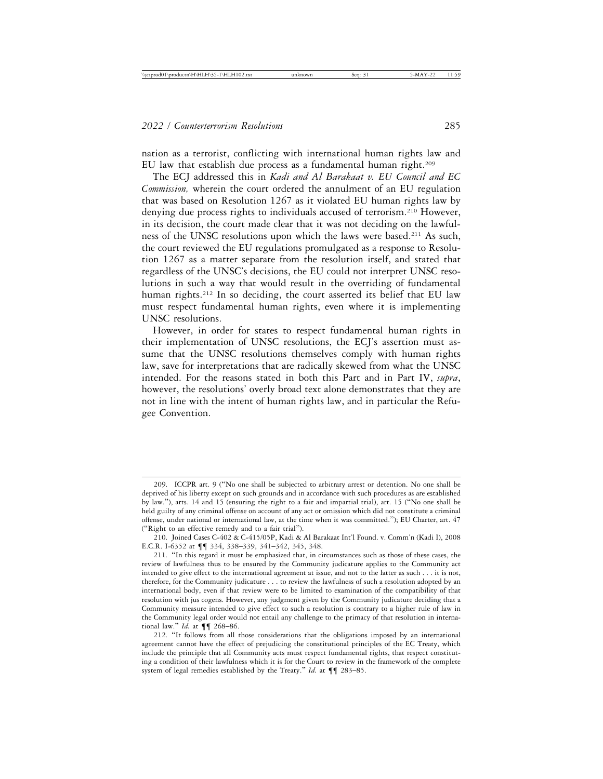nation as a terrorist, conflicting with international human rights law and EU law that establish due process as a fundamental human right.<sup>209</sup>

The ECJ addressed this in *Kadi and Al Barakaat v. EU Council and EC Commission,* wherein the court ordered the annulment of an EU regulation that was based on Resolution 1267 as it violated EU human rights law by denying due process rights to individuals accused of terrorism.210 However, in its decision, the court made clear that it was not deciding on the lawfulness of the UNSC resolutions upon which the laws were based.<sup>211</sup> As such, the court reviewed the EU regulations promulgated as a response to Resolution 1267 as a matter separate from the resolution itself, and stated that regardless of the UNSC's decisions, the EU could not interpret UNSC resolutions in such a way that would result in the overriding of fundamental human rights.<sup>212</sup> In so deciding, the court asserted its belief that EU law must respect fundamental human rights, even where it is implementing UNSC resolutions.

However, in order for states to respect fundamental human rights in their implementation of UNSC resolutions, the ECJ's assertion must assume that the UNSC resolutions themselves comply with human rights law, save for interpretations that are radically skewed from what the UNSC intended. For the reasons stated in both this Part and in Part IV, *supra*, however, the resolutions' overly broad text alone demonstrates that they are not in line with the intent of human rights law, and in particular the Refugee Convention.

<sup>209.</sup> ICCPR art. 9 ("No one shall be subjected to arbitrary arrest or detention. No one shall be deprived of his liberty except on such grounds and in accordance with such procedures as are established by law."), arts. 14 and 15 (ensuring the right to a fair and impartial trial), art. 15 ("No one shall be held guilty of any criminal offense on account of any act or omission which did not constitute a criminal offense, under national or international law, at the time when it was committed."); EU Charter, art. 47 ("Right to an effective remedy and to a fair trial").

<sup>210.</sup> Joined Cases C-402 & C-415/05P, Kadi & Al Barakaat Int'l Found. v. Comm'n (Kadi I), 2008 E.C.R. I-6352 at ¶¶ 334, 338–339, 341–342, 345, 348.

<sup>211.</sup> "In this regard it must be emphasized that, in circumstances such as those of these cases, the review of lawfulness thus to be ensured by the Community judicature applies to the Community act intended to give effect to the international agreement at issue, and not to the latter as such . . . it is not, therefore, for the Community judicature . . . to review the lawfulness of such a resolution adopted by an international body, even if that review were to be limited to examination of the compatibility of that resolution with jus cogens. However, any judgment given by the Community judicature deciding that a Community measure intended to give effect to such a resolution is contrary to a higher rule of law in the Community legal order would not entail any challenge to the primacy of that resolution in international law." *Id.* at ¶¶ 268–86.

<sup>212.</sup> "It follows from all those considerations that the obligations imposed by an international agreement cannot have the effect of prejudicing the constitutional principles of the EC Treaty, which include the principle that all Community acts must respect fundamental rights, that respect constituting a condition of their lawfulness which it is for the Court to review in the framework of the complete system of legal remedies established by the Treaty." *Id.* at ¶¶ 283–85.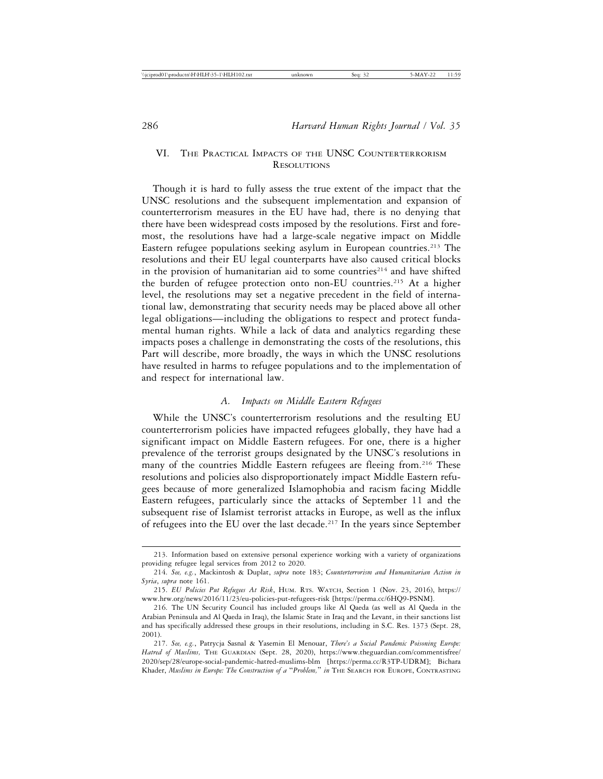# VI. THE PRACTICAL IMPACTS OF THE UNSC COUNTERTERRORISM RESOLUTIONS

Though it is hard to fully assess the true extent of the impact that the UNSC resolutions and the subsequent implementation and expansion of counterterrorism measures in the EU have had, there is no denying that there have been widespread costs imposed by the resolutions. First and foremost, the resolutions have had a large-scale negative impact on Middle Eastern refugee populations seeking asylum in European countries.<sup>213</sup> The resolutions and their EU legal counterparts have also caused critical blocks in the provision of humanitarian aid to some countries<sup>214</sup> and have shifted the burden of refugee protection onto non-EU countries.215 At a higher level, the resolutions may set a negative precedent in the field of international law, demonstrating that security needs may be placed above all other legal obligations—including the obligations to respect and protect fundamental human rights. While a lack of data and analytics regarding these impacts poses a challenge in demonstrating the costs of the resolutions, this Part will describe, more broadly, the ways in which the UNSC resolutions have resulted in harms to refugee populations and to the implementation of and respect for international law.

## *A. Impacts on Middle Eastern Refugees*

While the UNSC's counterterrorism resolutions and the resulting EU counterterrorism policies have impacted refugees globally, they have had a significant impact on Middle Eastern refugees. For one, there is a higher prevalence of the terrorist groups designated by the UNSC's resolutions in many of the countries Middle Eastern refugees are fleeing from.<sup>216</sup> These resolutions and policies also disproportionately impact Middle Eastern refugees because of more generalized Islamophobia and racism facing Middle Eastern refugees, particularly since the attacks of September 11 and the subsequent rise of Islamist terrorist attacks in Europe, as well as the influx of refugees into the EU over the last decade.<sup>217</sup> In the years since September

<sup>213.</sup> Information based on extensive personal experience working with a variety of organizations providing refugee legal services from 2012 to 2020.

<sup>214.</sup> *See, e.g.*, Mackintosh & Duplat, *supra* note 183; *Counterterrorism and Humanitarian Action in Syria*, *supra* note 161.

<sup>215.</sup> *EU Policies Put Refugees At Risk*, HUM. RTS. WATCH, Section 1 (Nov. 23, 2016), https:// www.hrw.org/news/2016/11/23/eu-policies-put-refugees-risk [https://perma.cc/6HQ9-PSNM].

<sup>216.</sup> The UN Security Council has included groups like Al Qaeda (as well as Al Qaeda in the Arabian Peninsula and Al Qaeda in Iraq), the Islamic State in Iraq and the Levant, in their sanctions list and has specifically addressed these groups in their resolutions, including in S.C. Res. 1373 (Sept. 28, 2001).

<sup>217.</sup> *See, e.g.*, Patrycja Sasnal & Yasemin El Menouar, *There's a Social Pandemic Poisoning Europe: Hatred of Muslims,* THE GUARDIAN (Sept. 28, 2020), https://www.theguardian.com/commentisfree/ 2020/sep/28/europe-social-pandemic-hatred-muslims-blm [https://perma.cc/R3TP-UDRM]; Bichara Khader, *Muslims in Europe: The Construction of a* "*Problem,*" *in* THE SEARCH FOR EUROPE, CONTRASTING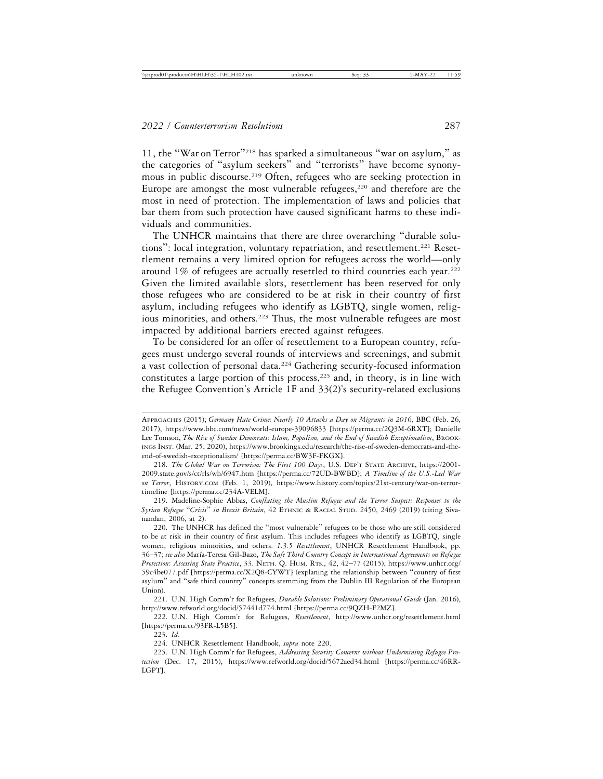11, the "War on Terror"218 has sparked a simultaneous "war on asylum," as the categories of "asylum seekers" and "terrorists" have become synonymous in public discourse.219 Often, refugees who are seeking protection in Europe are amongst the most vulnerable refugees, $220$  and therefore are the most in need of protection. The implementation of laws and policies that bar them from such protection have caused significant harms to these individuals and communities.

The UNHCR maintains that there are three overarching "durable solutions": local integration, voluntary repatriation, and resettlement.<sup>221</sup> Resettlement remains a very limited option for refugees across the world—only around 1% of refugees are actually resettled to third countries each year.<sup>222</sup> Given the limited available slots, resettlement has been reserved for only those refugees who are considered to be at risk in their country of first asylum, including refugees who identify as LGBTQ, single women, religious minorities, and others.<sup>223</sup> Thus, the most vulnerable refugees are most impacted by additional barriers erected against refugees.

To be considered for an offer of resettlement to a European country, refugees must undergo several rounds of interviews and screenings, and submit a vast collection of personal data.<sup>224</sup> Gathering security-focused information constitutes a large portion of this process,<sup>225</sup> and, in theory, is in line with the Refugee Convention's Article 1F and 33(2)'s security-related exclusions

APPROACHES (2015); *Germany Hate Crime: Nearly 10 Attacks a Day on Migrants in 2016*, BBC (Feb. 26, 2017), https://www.bbc.com/news/world-europe-39096833 [https://perma.cc/2Q3M-6RXT]; Danielle Lee Tomson, *The Rise of Sweden Democrats: Islam, Populism, and the End of Swedish Exceptionalism*, BROOK-INGS INST. (Mar. 25, 2020), https://www.brookings.edu/research/the-rise-of-sweden-democrats-and-theend-of-swedish-exceptionalism/ [https://perma.cc/BW3F-FKGX].

<sup>218.</sup> *The Global War on Terrorism: The First 100 Days*, U.S. DEP'T STATE ARCHIVE, https://2001- 2009.state.gov/s/ct/rls/wh/6947.htm [https://perma.cc/72UD-BWBD]; *A Timeline of the U.S.-Led War on Terror*, HISTORY.COM (Feb. 1, 2019), https://www.history.com/topics/21st-century/war-on-terrortimeline [https://perma.cc/234A-VELM].

<sup>219.</sup> Madeline-Sophie Abbas, *Conflating the Muslim Refugee and the Terror Suspect: Responses to the Syrian Refugee* "*Crisis*" *in Brexit Britain*, 42 ETHNIC & RACIAL STUD. 2450, 2469 (2019) (citing Sivanandan, 2006, at 2).

<sup>220.</sup> The UNHCR has defined the "most vulnerable" refugees to be those who are still considered to be at risk in their country of first asylum. This includes refugees who identify as LGBTQ, single women, religious minorities, and others. *1.3.5 Resettlement*, UNHCR Resettlement Handbook, pp. 36–37; *see also* Mar´ıa-Teresa Gil-Bazo, *The Safe Third Country Concept in International Agreements on Refugee Protection: Assessing State Practice*, 33. NETH. Q. HUM. RTS., 42, 42–77 (2015), https://www.unhcr.org/ 59c4be077.pdf [https://perma.cc/X2Q8-CYWT] (explaning the relationship between "country of first asylum" and "safe third country" concepts stemming from the Dublin III Regulation of the European Union).

<sup>221.</sup> U.N. High Comm'r for Refugees, *Durable Solutions: Preliminary Operational Guide* (Jan. 2016), http://www.refworld.org/docid/57441d774.html [https://perma.cc/9QZH-F2MZ].

<sup>222.</sup> U.N. High Comm'r for Refugees, *Resettlement*, http://www.unhcr.org/resettlement.html [https://perma.cc/93FR-L5B5].

<sup>223.</sup> *Id.*

<sup>224.</sup> UNHCR Resettlement Handbook, *supra* note 220.

<sup>225.</sup> U.N. High Comm'r for Refugees, *Addressing Security Concerns without Undermining Refugee Protection* (Dec. 17, 2015), https://www.refworld.org/docid/5672aed34.html [https://perma.cc/46RR-LGPT].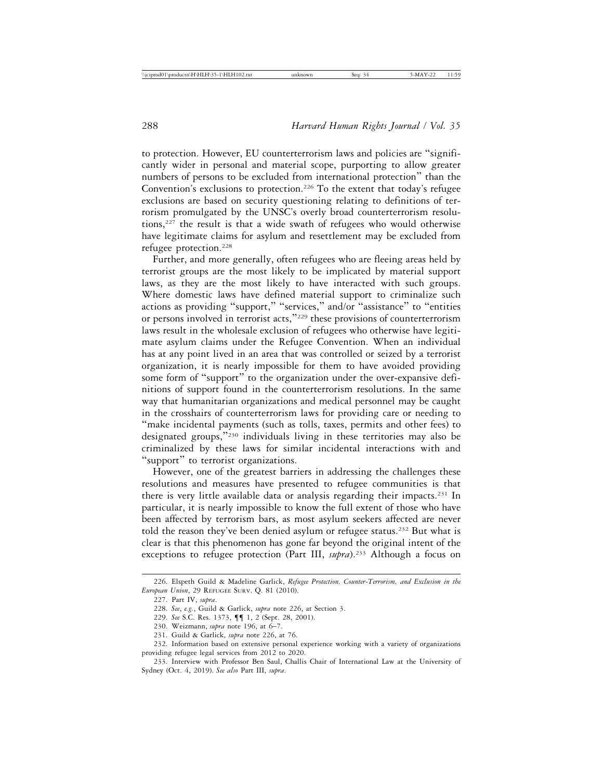to protection. However, EU counterterrorism laws and policies are "significantly wider in personal and material scope, purporting to allow greater numbers of persons to be excluded from international protection" than the Convention's exclusions to protection.<sup>226</sup> To the extent that today's refugee exclusions are based on security questioning relating to definitions of terrorism promulgated by the UNSC's overly broad counterterrorism resolutions,227 the result is that a wide swath of refugees who would otherwise have legitimate claims for asylum and resettlement may be excluded from refugee protection.<sup>228</sup>

Further, and more generally, often refugees who are fleeing areas held by terrorist groups are the most likely to be implicated by material support laws, as they are the most likely to have interacted with such groups. Where domestic laws have defined material support to criminalize such actions as providing "support," "services," and/or "assistance" to "entities or persons involved in terrorist acts,"229 these provisions of counterterrorism laws result in the wholesale exclusion of refugees who otherwise have legitimate asylum claims under the Refugee Convention. When an individual has at any point lived in an area that was controlled or seized by a terrorist organization, it is nearly impossible for them to have avoided providing some form of "support" to the organization under the over-expansive definitions of support found in the counterterrorism resolutions. In the same way that humanitarian organizations and medical personnel may be caught in the crosshairs of counterterrorism laws for providing care or needing to "make incidental payments (such as tolls, taxes, permits and other fees) to designated groups,"230 individuals living in these territories may also be criminalized by these laws for similar incidental interactions with and "support" to terrorist organizations.

However, one of the greatest barriers in addressing the challenges these resolutions and measures have presented to refugee communities is that there is very little available data or analysis regarding their impacts.<sup>231</sup> In particular, it is nearly impossible to know the full extent of those who have been affected by terrorism bars, as most asylum seekers affected are never told the reason they've been denied asylum or refugee status.<sup>232</sup> But what is clear is that this phenomenon has gone far beyond the original intent of the exceptions to refugee protection (Part III, *supra*).<sup>233</sup> Although a focus on

<sup>226.</sup> Elspeth Guild & Madeline Garlick, *Refugee Protection, Counter-Terrorism, and Exclusion in the European Union*, 29 REFUGEE SURV. Q. 81 (2010).

<sup>227.</sup> Part IV, *supra*.

<sup>228.</sup> *See*, *e.g.*, Guild & Garlick, *supra* note 226, at Section 3.

<sup>229.</sup> *See* S.C. Res. 1373, ¶¶ 1, 2 (Sept. 28, 2001).

<sup>230.</sup> Weizmann, *supra* note 196, at 6–7.

<sup>231.</sup> Guild & Garlick, *supra* note 226, at 76.

<sup>232.</sup> Information based on extensive personal experience working with a variety of organizations providing refugee legal services from 2012 to 2020.

<sup>233.</sup> Interview with Professor Ben Saul, Challis Chair of International Law at the University of Sydney (Oct. 4, 2019). *See also* Part III, *supra*.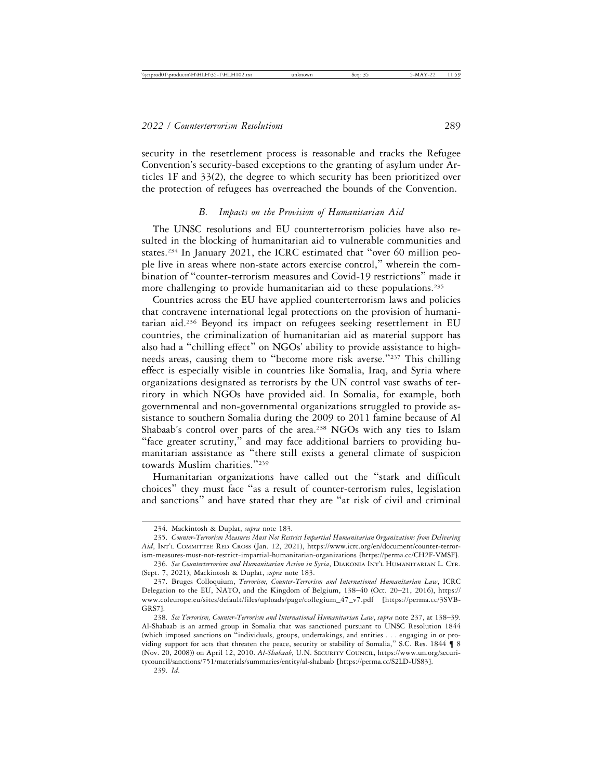security in the resettlement process is reasonable and tracks the Refugee Convention's security-based exceptions to the granting of asylum under Articles 1F and 33(2), the degree to which security has been prioritized over the protection of refugees has overreached the bounds of the Convention.

#### *B. Impacts on the Provision of Humanitarian Aid*

The UNSC resolutions and EU counterterrorism policies have also resulted in the blocking of humanitarian aid to vulnerable communities and states.<sup>234</sup> In January 2021, the ICRC estimated that "over 60 million people live in areas where non-state actors exercise control," wherein the combination of "counter-terrorism measures and Covid-19 restrictions" made it more challenging to provide humanitarian aid to these populations.<sup>235</sup>

Countries across the EU have applied counterterrorism laws and policies that contravene international legal protections on the provision of humanitarian aid.236 Beyond its impact on refugees seeking resettlement in EU countries, the criminalization of humanitarian aid as material support has also had a "chilling effect" on NGOs' ability to provide assistance to highneeds areas, causing them to "become more risk averse."237 This chilling effect is especially visible in countries like Somalia, Iraq, and Syria where organizations designated as terrorists by the UN control vast swaths of territory in which NGOs have provided aid. In Somalia, for example, both governmental and non-governmental organizations struggled to provide assistance to southern Somalia during the 2009 to 2011 famine because of Al Shabaab's control over parts of the area.<sup>238</sup> NGOs with any ties to Islam "face greater scrutiny," and may face additional barriers to providing humanitarian assistance as "there still exists a general climate of suspicion towards Muslim charities."<sup>239</sup>

Humanitarian organizations have called out the "stark and difficult choices" they must face "as a result of counter-terrorism rules, legislation and sanctions" and have stated that they are "at risk of civil and criminal

<sup>234.</sup> Mackintosh & Duplat, *supra* note 183.

<sup>235.</sup> *Counter-Terrorism Measures Must Not Restrict Impartial Humanitarian Organizations from Delivering Aid*, INT'L COMMITTEE RED CROSS (Jan. 12, 2021), https://www.icrc.org/en/document/counter-terrorism-measures-must-not-restrict-impartial-humanitarian-organizations [https://perma.cc/CH2F-VMSF].

<sup>236.</sup> *See Counterterrorism and Humanitarian Action in Syria*, DIAKONIA INT'L HUMANITARIAN L. CTR. (Sept. 7, 2021); Mackintosh & Duplat, *supra* note 183.

<sup>237.</sup> Bruges Colloquium, *Terrorism, Counter-Terrorism and International Humanitarian Law*, ICRC Delegation to the EU, NATO, and the Kingdom of Belgium, 138–40 (Oct. 20–21, 2016), https:// www.coleurope.eu/sites/default/files/uploads/page/collegium\_47\_v7.pdf [https://perma.cc/3SVB-GRS7].

<sup>238.</sup> *See Terrorism, Counter-Terrorism and International Humanitarian Law*, *supra* note 237, at 138–39. Al-Shabaab is an armed group in Somalia that was sanctioned pursuant to UNSC Resolution 1844 (which imposed sanctions on "individuals, groups, undertakings, and entities . . . engaging in or providing support for acts that threaten the peace, security or stability of Somalia," S.C. Res. 1844 ¶ 8 (Nov. 20, 2008)) on April 12, 2010. *Al-Shabaab*, U.N. SECURITY COUNCIL, https://www.un.org/securitycouncil/sanctions/751/materials/summaries/entity/al-shabaab [https://perma.cc/S2LD-US83].

<sup>239.</sup> *Id*.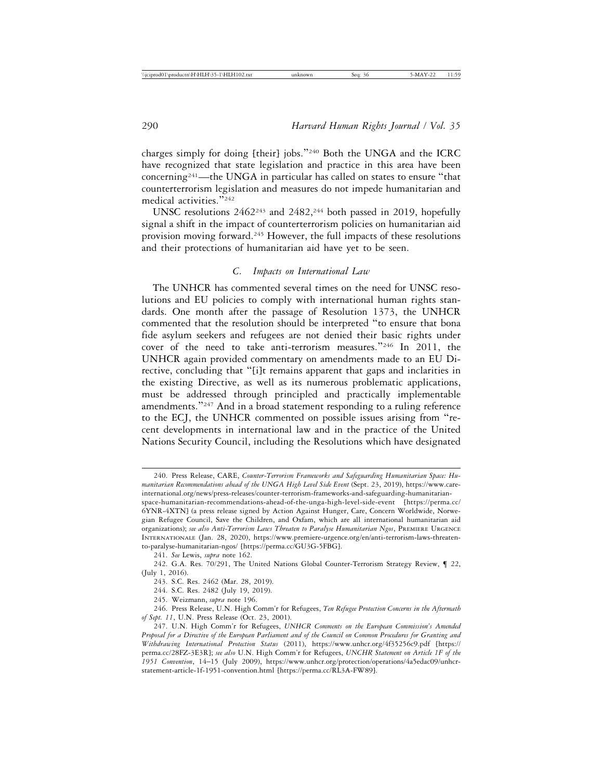charges simply for doing [their] jobs."240 Both the UNGA and the ICRC have recognized that state legislation and practice in this area have been concerning<sup>241</sup>—the UNGA in particular has called on states to ensure "that counterterrorism legislation and measures do not impede humanitarian and medical activities."<sup>242</sup>

UNSC resolutions 2462<sup>243</sup> and 2482,<sup>244</sup> both passed in 2019, hopefully signal a shift in the impact of counterterrorism policies on humanitarian aid provision moving forward.<sup>245</sup> However, the full impacts of these resolutions and their protections of humanitarian aid have yet to be seen.

## *C. Impacts on International Law*

The UNHCR has commented several times on the need for UNSC resolutions and EU policies to comply with international human rights standards. One month after the passage of Resolution 1373, the UNHCR commented that the resolution should be interpreted "to ensure that bona fide asylum seekers and refugees are not denied their basic rights under cover of the need to take anti-terrorism measures."246 In 2011, the UNHCR again provided commentary on amendments made to an EU Directive, concluding that "[i]t remains apparent that gaps and inclarities in the existing Directive, as well as its numerous problematic applications, must be addressed through principled and practically implementable amendments."247 And in a broad statement responding to a ruling reference to the ECJ, the UNHCR commented on possible issues arising from "recent developments in international law and in the practice of the United Nations Security Council, including the Resolutions which have designated

<sup>240.</sup> Press Release, CARE, *Counter-Terrorism Frameworks and Safeguarding Humanitarian Space: Humanitarian Recommendations ahead of the UNGA High Level Side Event* (Sept. 23, 2019), https://www.careinternational.org/news/press-releases/counter-terrorism-frameworks-and-safeguarding-humanitarian-

space-humanitarian-recommendations-ahead-of-the-unga-high-level-side-event [https://perma.cc/ 6YNR-4XTN] (a press release signed by Action Against Hunger, Care, Concern Worldwide, Norwegian Refugee Council, Save the Children, and Oxfam, which are all international humanitarian aid organizations); *see also Anti-Terrorism Laws Threaten to Paralyse Humanitarian Ngos*, PREMIERE URGENCE INTERNATIONALE (Jan. 28, 2020), https://www.premiere-urgence.org/en/anti-terrorism-laws-threatento-paralyse-humanitarian-ngos/ [https://perma.cc/GU3G-5FBG].

<sup>241.</sup> *See* Lewis, *supra* note 162.

<sup>242.</sup> G.A. Res. 70/291, The United Nations Global Counter-Terrorism Strategy Review, ¶ 22, (July 1, 2016).

<sup>243.</sup> S.C. Res. 2462 (Mar. 28, 2019).

<sup>244.</sup> S.C. Res. 2482 (July 19, 2019).

<sup>245.</sup> Weizmann, *supra* note 196.

<sup>246.</sup> Press Release, U.N. High Comm'r for Refugees, *Ten Refugee Protection Concerns in the Aftermath of Sept. 11*, U.N. Press Release (Oct. 23, 2001).

<sup>247.</sup> U.N. High Comm'r for Refugees, *UNHCR Comments on the European Commission's Amended Proposal for a Directive of the European Parliament and of the Council on Common Procedures for Granting and Withdrawing International Protection Status* (2011), https://www.unhcr.org/4f35256c9.pdf [https:// perma.cc/28FZ-3E3R]; *see also* U.N. High Comm'r for Refugees, *UNCHR Statement on Article 1F of the 1951 Convention*, 14–15 (July 2009), https://www.unhcr.org/protection/operations/4a5edac09/unhcrstatement-article-1f-1951-convention.html [https://perma.cc/RL3A-FW89].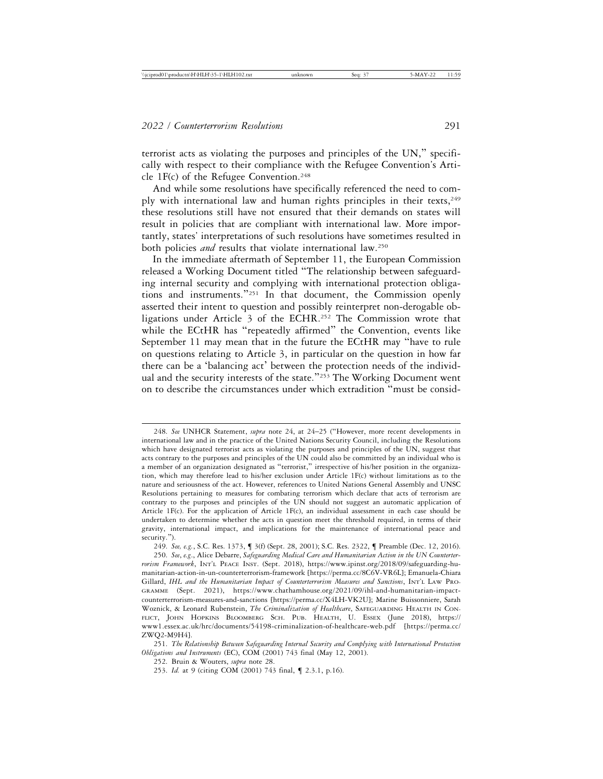terrorist acts as violating the purposes and principles of the UN," specifically with respect to their compliance with the Refugee Convention's Article 1F(c) of the Refugee Convention.<sup>248</sup>

And while some resolutions have specifically referenced the need to comply with international law and human rights principles in their texts,<sup>249</sup> these resolutions still have not ensured that their demands on states will result in policies that are compliant with international law. More importantly, states' interpretations of such resolutions have sometimes resulted in both policies *and* results that violate international law.250

In the immediate aftermath of September 11, the European Commission released a Working Document titled "The relationship between safeguarding internal security and complying with international protection obligations and instruments."251 In that document, the Commission openly asserted their intent to question and possibly reinterpret non-derogable obligations under Article 3 of the ECHR.<sup>252</sup> The Commission wrote that while the ECtHR has "repeatedly affirmed" the Convention, events like September 11 may mean that in the future the ECtHR may "have to rule on questions relating to Article 3, in particular on the question in how far there can be a 'balancing act' between the protection needs of the individual and the security interests of the state."<sup>253</sup> The Working Document went on to describe the circumstances under which extradition "must be consid-

<sup>248.</sup> *See* UNHCR Statement, *supra* note 24, at 24–25 ("However, more recent developments in international law and in the practice of the United Nations Security Council, including the Resolutions which have designated terrorist acts as violating the purposes and principles of the UN, suggest that acts contrary to the purposes and principles of the UN could also be committed by an individual who is a member of an organization designated as "terrorist," irrespective of his/her position in the organization, which may therefore lead to his/her exclusion under Article 1F(c) without limitations as to the nature and seriousness of the act. However, references to United Nations General Assembly and UNSC Resolutions pertaining to measures for combating terrorism which declare that acts of terrorism are contrary to the purposes and principles of the UN should not suggest an automatic application of Article 1F(c). For the application of Article 1F(c), an individual assessment in each case should be undertaken to determine whether the acts in question meet the threshold required, in terms of their gravity, international impact, and implications for the maintenance of international peace and security.").

<sup>249.</sup> *See, e.g.*, S.C. Res. 1373, ¶ 3(f) (Sept. 28, 2001); S.C. Res. 2322, ¶ Preamble (Dec. 12, 2016).

<sup>250.</sup> *See*, *e.g*., Alice Debarre, *Safeguarding Medical Care and Humanitarian Action in the UN Counterterrorism Framework*, INT'L PEACE INST. (Sept. 2018), https://www.ipinst.org/2018/09/safeguarding-humanitarian-action-in-un-counterterrorism-framework [https://perma.cc/8C6V-VR6L]; Emanuela-Chiara Gillard, *IHL and the Humanitarian Impact of Counterterrorism Measures and Sanctions*, INT'L LAW PRO-GRAMME (Sept. 2021), https://www.chathamhouse.org/2021/09/ihl-and-humanitarian-impactcounterterrorism-measures-and-sanctions [https://perma.cc/X4LH-VK2U]; Marine Buissonniere, Sarah Woznick, & Leonard Rubenstein, *The Criminalization of Healthcare*, SAFEGUARDING HEALTH IN CON-FLICT, JOHN HOPKINS BLOOMBERG SCH. PUB. HEALTH, U. ESSEX (June 2018), https:// www1.essex.ac.uk/hrc/documents/54198-criminalization-of-healthcare-web.pdf [https://perma.cc/ ZWQ2-M9H4].

<sup>251.</sup> *The Relationship Between Safeguarding Internal Security and Complying with International Protection Obligations and Instruments* (EC), COM (2001) 743 final (May 12, 2001).

<sup>252.</sup> Bruin & Wouters, *supra* note 28.

<sup>253.</sup> *Id.* at 9 (citing COM (2001) 743 final, ¶ 2.3.1, p.16).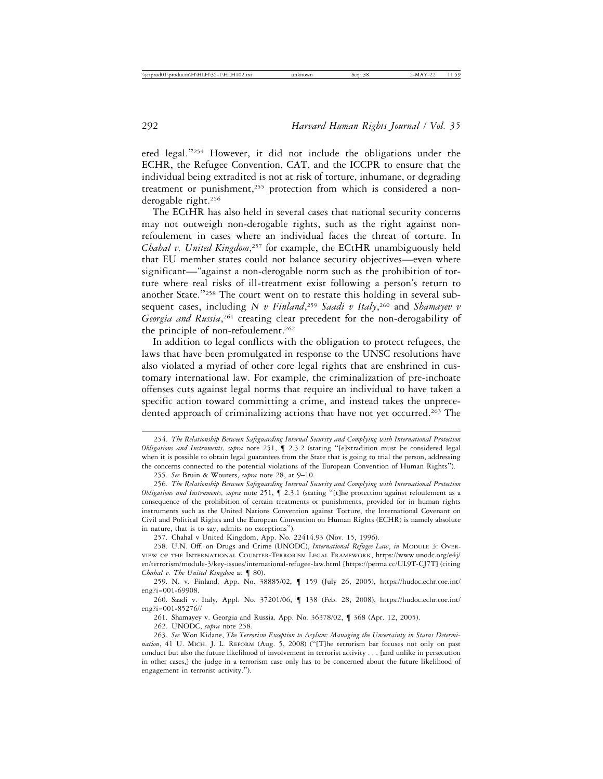ered legal."254 However, it did not include the obligations under the ECHR, the Refugee Convention, CAT, and the ICCPR to ensure that the individual being extradited is not at risk of torture, inhumane, or degrading treatment or punishment,<sup>255</sup> protection from which is considered a nonderogable right.256

The ECtHR has also held in several cases that national security concerns may not outweigh non-derogable rights, such as the right against nonrefoulement in cases where an individual faces the threat of torture. In *Chahal v. United Kingdom*, 257 for example, the ECtHR unambiguously held that EU member states could not balance security objectives—even where significant—"against a non-derogable norm such as the prohibition of torture where real risks of ill-treatment exist following a person's return to another State."258 The court went on to restate this holding in several subsequent cases, including *N v Finland*, <sup>259</sup> *Saadi v Italy*, 260 and *Shamayev v* Georgia and Russia,<sup>261</sup> creating clear precedent for the non-derogability of the principle of non-refoulement.<sup>262</sup>

In addition to legal conflicts with the obligation to protect refugees, the laws that have been promulgated in response to the UNSC resolutions have also violated a myriad of other core legal rights that are enshrined in customary international law. For example, the criminalization of pre-inchoate offenses cuts against legal norms that require an individual to have taken a specific action toward committing a crime, and instead takes the unprecedented approach of criminalizing actions that have not yet occurred.<sup>263</sup> The

255. *See* Bruin & Wouters, *supra* note 28, at 9–10.

256. *The Relationship Between Safeguarding Internal Security and Complying with International Protection Obligations and Instruments, supra* note 251, ¶ 2.3.1 (stating "[t]he protection against refoulement as a consequence of the prohibition of certain treatments or punishments, provided for in human rights instruments such as the United Nations Convention against Torture, the International Covenant on Civil and Political Rights and the European Convention on Human Rights (ECHR) is namely absolute in nature, that is to say, admits no exceptions").

257. Chahal v United Kingdom, App. No. 22414.93 (Nov. 15, 1996).

258. U.N. Off. on Drugs and Crime (UNODC), *International Refugee Law*, *in* MODULE 3: OVER-VIEW OF THE INTERNATIONAL COUNTER-TERRORISM LEGAL FRAMEWORK, https://www.unodc.org/e4j/ en/terrorism/module-3/key-issues/international-refugee-law.html [https://perma.cc/UL9T-CJ7T] (citing *Chahal v. The United Kingdom* at  $\P$  80).

259. N. v. Finland*,* App. No. 38885/02, ¶ 159 (July 26, 2005), https://hudoc.echr.coe.int/ eng?i=001-69908.

260. Saadi v. Italy*,* Appl. No. 37201/06, ¶ 138 (Feb. 28, 2008), https://hudoc.echr.coe.int/ eng?i=001-85276//

261. Shamayey v. Georgia and Russia*,* App. No. 36378/02, ¶ 368 (Apr. 12, 2005).

262. UNODC, *supra* note 258.

263. *See* Won Kidane, *The Terrorism Exception to Asylum: Managing the Uncertainty in Status Determi*nation, 41 U. MICH. J. L. REFORM (Aug. 5, 2008) ("[T]he terrorism bar focuses not only on past conduct but also the future likelihood of involvement in terrorist activity . . . [and unlike in persecution in other cases,] the judge in a terrorism case only has to be concerned about the future likelihood of engagement in terrorist activity.").

<sup>254.</sup> *The Relationship Between Safeguarding Internal Security and Complying with International Protection Obligations and Instruments, supra* note 251, ¶ 2.3.2 (stating "[e]xtradition must be considered legal when it is possible to obtain legal guarantees from the State that is going to trial the person, addressing the concerns connected to the potential violations of the European Convention of Human Rights").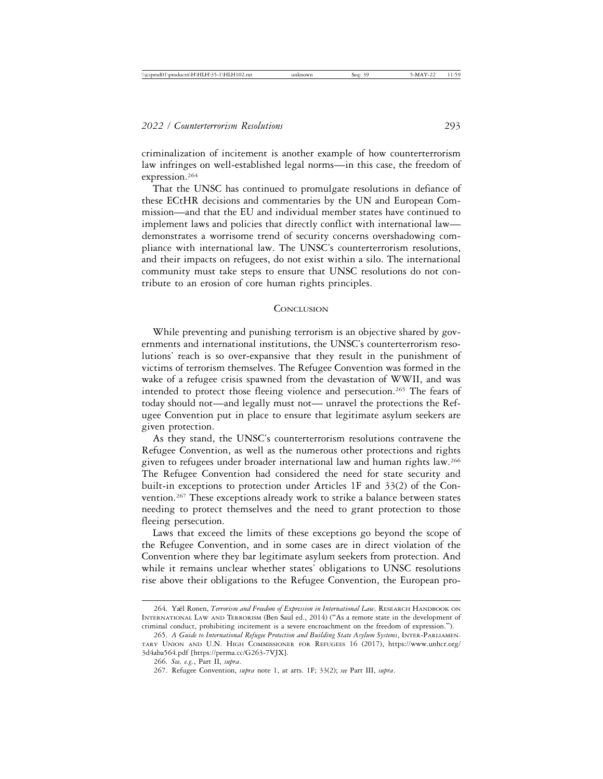criminalization of incitement is another example of how counterterrorism law infringes on well-established legal norms—in this case, the freedom of expression.264

That the UNSC has continued to promulgate resolutions in defiance of these ECtHR decisions and commentaries by the UN and European Commission—and that the EU and individual member states have continued to implement laws and policies that directly conflict with international law demonstrates a worrisome trend of security concerns overshadowing compliance with international law. The UNSC's counterterrorism resolutions, and their impacts on refugees, do not exist within a silo. The international community must take steps to ensure that UNSC resolutions do not contribute to an erosion of core human rights principles.

#### **CONCLUSION**

While preventing and punishing terrorism is an objective shared by governments and international institutions, the UNSC's counterterrorism resolutions' reach is so over-expansive that they result in the punishment of victims of terrorism themselves. The Refugee Convention was formed in the wake of a refugee crisis spawned from the devastation of WWII, and was intended to protect those fleeing violence and persecution.<sup>265</sup> The fears of today should not—and legally must not— unravel the protections the Refugee Convention put in place to ensure that legitimate asylum seekers are given protection.

As they stand, the UNSC's counterterrorism resolutions contravene the Refugee Convention, as well as the numerous other protections and rights given to refugees under broader international law and human rights law.266 The Refugee Convention had considered the need for state security and built-in exceptions to protection under Articles 1F and 33(2) of the Convention.<sup>267</sup> These exceptions already work to strike a balance between states needing to protect themselves and the need to grant protection to those fleeing persecution.

Laws that exceed the limits of these exceptions go beyond the scope of the Refugee Convention, and in some cases are in direct violation of the Convention where they bar legitimate asylum seekers from protection. And while it remains unclear whether states' obligations to UNSC resolutions rise above their obligations to the Refugee Convention, the European pro-

<sup>264.</sup> Yaël Ronen, *Terrorism and Freedom of Expression in International Law*, RESEARCH HANDBOOK ON INTERNATIONAL LAW AND TERRORISM (Ben Saul ed., 2014) ("As a remote state in the development of criminal conduct, prohibiting incitement is a severe encroachment on the freedom of expression.").

<sup>265.</sup> *A Guide to International Refugee Protection and Building State Asylum Systems*, INTER-PARLIAMEN-TARY UNION AND U.N. HIGH COMMISSIONER FOR REFUGEES 16 (2017), https://www.unhcr.org/ 3d4aba564.pdf [https://perma.cc/G263-7VJX].

<sup>266.</sup> *See, e.g.*, Part II, *supra*.

<sup>267.</sup> Refugee Convention, *supra* note 1, at arts. 1F; 33(2); *see* Part III, *supra*.